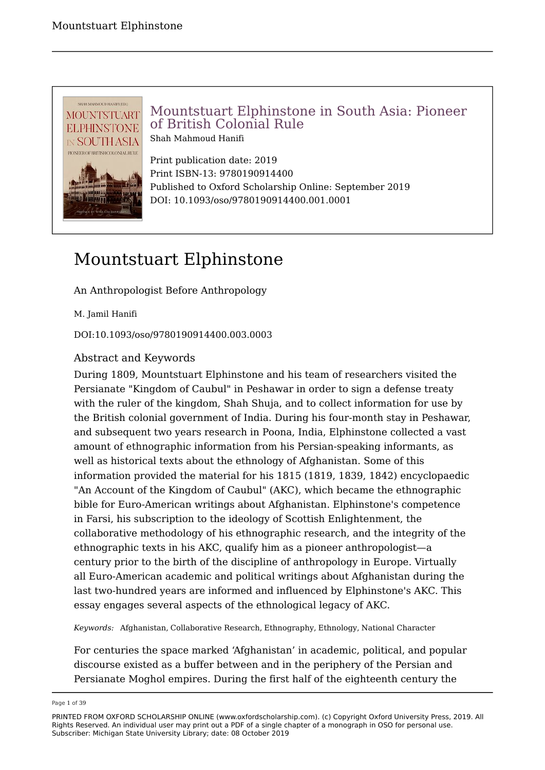

## Mountstuart Elphinstone in South Asia: Pioneer of British Colonial Rule Shah Mahmoud Hanifi

Print publication date: 2019 Print ISBN-13: 9780190914400 Published to Oxford Scholarship Online: September 2019 DOI: 10.1093/oso/9780190914400.001.0001

# Mountstuart Elphinstone

An Anthropologist Before Anthropology

M. Jamil Hanifi

DOI:10.1093/oso/9780190914400.003.0003

## Abstract and Keywords

During 1809, Mountstuart Elphinstone and his team of researchers visited the Persianate "Kingdom of Caubul" in Peshawar in order to sign a defense treaty with the ruler of the kingdom, Shah Shuja, and to collect information for use by the British colonial government of India. During his four-month stay in Peshawar, and subsequent two years research in Poona, India, Elphinstone collected a vast amount of ethnographic information from his Persian-speaking informants, as well as historical texts about the ethnology of Afghanistan. Some of this information provided the material for his 1815 (1819, 1839, 1842) encyclopaedic "An Account of the Kingdom of Caubul" (AKC), which became the ethnographic bible for Euro-American writings about Afghanistan. Elphinstone's competence in Farsi, his subscription to the ideology of Scottish Enlightenment, the collaborative methodology of his ethnographic research, and the integrity of the ethnographic texts in his AKC, qualify him as a pioneer anthropologist—a century prior to the birth of the discipline of anthropology in Europe. Virtually all Euro-American academic and political writings about Afghanistan during the last two-hundred years are informed and influenced by Elphinstone's AKC. This essay engages several aspects of the ethnological legacy of AKC.

*Keywords:* Afghanistan, Collaborative Research, Ethnography, Ethnology, National Character

For centuries the space marked 'Afghanistan' in academic, political, and popular discourse existed as a buffer between and in the periphery of the Persian and Persianate Moghol empires. During the first half of the eighteenth century the

Page 1 of 39

PRINTED FROM OXFORD SCHOLARSHIP ONLINE (www.oxfordscholarship.com). (c) Copyright Oxford University Press, 2019. All Rights Reserved. An individual user may print out a PDF of a single chapter of a monograph in OSO for personal use. Subscriber: Michigan State University Library; date: 08 October 2019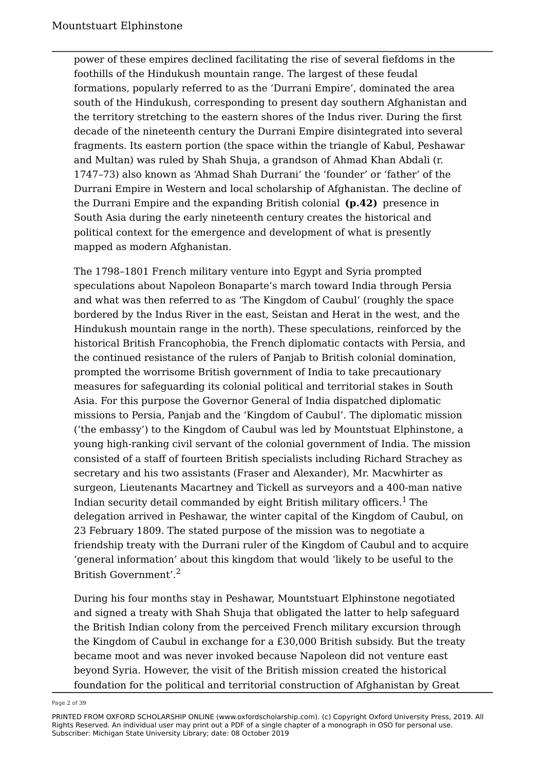power of these empires declined facilitating the rise of several fiefdoms in the foothills of the Hindukush mountain range. The largest of these feudal formations, popularly referred to as the 'Durrani Empire', dominated the area south of the Hindukush, corresponding to present day southern Afghanistan and the territory stretching to the eastern shores of the Indus river. During the first decade of the nineteenth century the Durrani Empire disintegrated into several fragments. Its eastern portion (the space within the triangle of Kabul, Peshawar and Multan) was ruled by Shah Shuja, a grandson of Ahmad Khan Abdali (r. 1747–73) also known as 'Ahmad Shah Durrani' the 'founder' or 'father' of the Durrani Empire in Western and local scholarship of Afghanistan. The decline of the Durrani Empire and the expanding British colonial **(p.42)** presence in South Asia during the early nineteenth century creates the historical and political context for the emergence and development of what is presently mapped as modern Afghanistan.

The 1798–1801 French military venture into Egypt and Syria prompted speculations about Napoleon Bonaparte's march toward India through Persia and what was then referred to as 'The Kingdom of Caubul' (roughly the space bordered by the Indus River in the east, Seistan and Herat in the west, and the Hindukush mountain range in the north). These speculations, reinforced by the historical British Francophobia, the French diplomatic contacts with Persia, and the continued resistance of the rulers of Panjab to British colonial domination, prompted the worrisome British government of India to take precautionary measures for safeguarding its colonial political and territorial stakes in South Asia. For this purpose the Governor General of India dispatched diplomatic missions to Persia, Panjab and the 'Kingdom of Caubul'. The diplomatic mission ('the embassy') to the Kingdom of Caubul was led by Mountstuat Elphinstone, a young high-ranking civil servant of the colonial government of India. The mission consisted of a staff of fourteen British specialists including Richard Strachey as secretary and his two assistants (Fraser and Alexander), Mr. Macwhirter as surgeon, Lieutenants Macartney and Tickell as surveyors and a 400-man native Indian security detail commanded by eight British military officers.<sup>1</sup> The delegation arrived in Peshawar, the winter capital of the Kingdom of Caubul, on 23 February 1809. The stated purpose of the mission was to negotiate a friendship treaty with the Durrani ruler of the Kingdom of Caubul and to acquire 'general information' about this kingdom that would 'likely to be useful to the British Government'.<sup>2</sup>

During his four months stay in Peshawar, Mountstuart Elphinstone negotiated and signed a treaty with Shah Shuja that obligated the latter to help safeguard the British Indian colony from the perceived French military excursion through the Kingdom of Caubul in exchange for a £30,000 British subsidy. But the treaty became moot and was never invoked because Napoleon did not venture east beyond Syria. However, the visit of the British mission created the historical foundation for the political and territorial construction of Afghanistan by Great

Page 2 of 39

PRINTED FROM OXFORD SCHOLARSHIP ONLINE (www.oxfordscholarship.com). (c) Copyright Oxford University Press, 2019. All Rights Reserved. An individual user may print out a PDF of a single chapter of a monograph in OSO for personal use. Subscriber: Michigan State University Library; date: 08 October 2019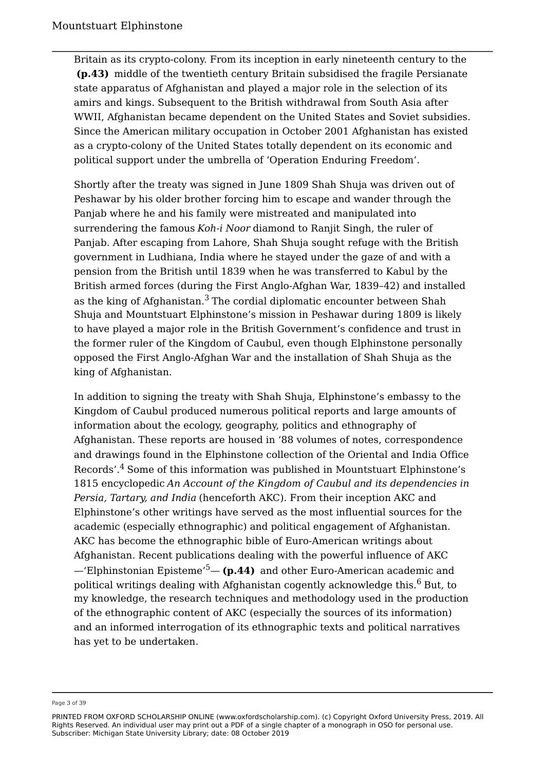Britain as its crypto-colony. From its inception in early nineteenth century to the **(p.43)** middle of the twentieth century Britain subsidised the fragile Persianate state apparatus of Afghanistan and played a major role in the selection of its amirs and kings. Subsequent to the British withdrawal from South Asia after WWII, Afghanistan became dependent on the United States and Soviet subsidies. Since the American military occupation in October 2001 Afghanistan has existed as a crypto-colony of the United States totally dependent on its economic and political support under the umbrella of 'Operation Enduring Freedom'.

Shortly after the treaty was signed in June 1809 Shah Shuja was driven out of Peshawar by his older brother forcing him to escape and wander through the Panjab where he and his family were mistreated and manipulated into surrendering the famous *Koh-i Noor* diamond to Ranjit Singh, the ruler of Panjab. After escaping from Lahore, Shah Shuja sought refuge with the British government in Ludhiana, India where he stayed under the gaze of and with a pension from the British until 1839 when he was transferred to Kabul by the British armed forces (during the First Anglo-Afghan War, 1839–42) and installed as the king of Afghanistan.<sup>3</sup> The cordial diplomatic encounter between Shah Shuja and Mountstuart Elphinstone's mission in Peshawar during 1809 is likely to have played a major role in the British Government's confidence and trust in the former ruler of the Kingdom of Caubul, even though Elphinstone personally opposed the First Anglo-Afghan War and the installation of Shah Shuja as the king of Afghanistan.

In addition to signing the treaty with Shah Shuja, Elphinstone's embassy to the Kingdom of Caubul produced numerous political reports and large amounts of information about the ecology, geography, politics and ethnography of Afghanistan. These reports are housed in '88 volumes of notes, correspondence and drawings found in the Elphinstone collection of the Oriental and India Office Records'.<sup>4</sup> Some of this information was published in Mountstuart Elphinstone's 1815 encyclopedic *An Account of the Kingdom of Caubul and its dependencies in Persia, Tartary, and India* (henceforth AKC). From their inception AKC and Elphinstone's other writings have served as the most influential sources for the academic (especially ethnographic) and political engagement of Afghanistan. AKC has become the ethnographic bible of Euro-American writings about Afghanistan. Recent publications dealing with the powerful influence of AKC —'Elphinstonian Episteme'5— **(p.44)** and other Euro-American academic and political writings dealing with Afghanistan cogently acknowledge this.<sup>6</sup> But, to my knowledge, the research techniques and methodology used in the production of the ethnographic content of AKC (especially the sources of its information) and an informed interrogation of its ethnographic texts and political narratives has yet to be undertaken.

Page 3 of 39

PRINTED FROM OXFORD SCHOLARSHIP ONLINE (www.oxfordscholarship.com). (c) Copyright Oxford University Press, 2019. All Rights Reserved. An individual user may print out a PDF of a single chapter of a monograph in OSO for personal use. Subscriber: Michigan State University Library; date: 08 October 2019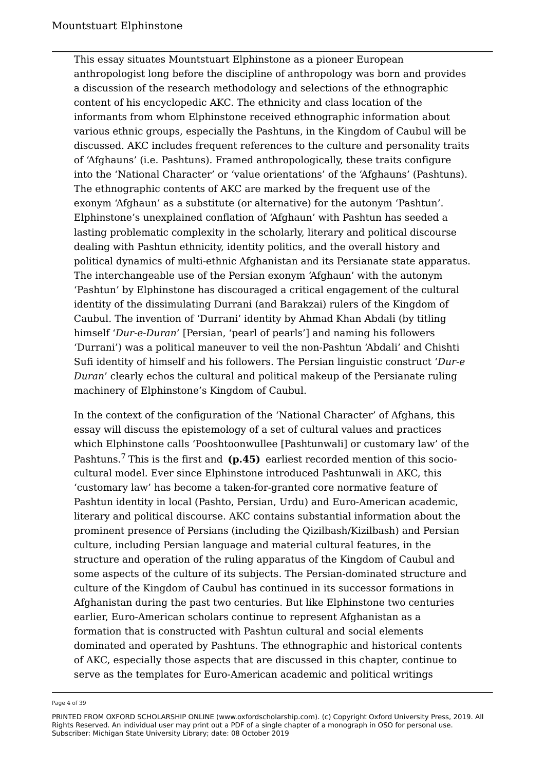This essay situates Mountstuart Elphinstone as a pioneer European anthropologist long before the discipline of anthropology was born and provides a discussion of the research methodology and selections of the ethnographic content of his encyclopedic AKC. The ethnicity and class location of the informants from whom Elphinstone received ethnographic information about various ethnic groups, especially the Pashtuns, in the Kingdom of Caubul will be discussed. AKC includes frequent references to the culture and personality traits of 'Afghauns' (i.e. Pashtuns). Framed anthropologically, these traits configure into the 'National Character' or 'value orientations' of the 'Afghauns' (Pashtuns). The ethnographic contents of AKC are marked by the frequent use of the exonym 'Afghaun' as a substitute (or alternative) for the autonym 'Pashtun'. Elphinstone's unexplained conflation of 'Afghaun' with Pashtun has seeded a lasting problematic complexity in the scholarly, literary and political discourse dealing with Pashtun ethnicity, identity politics, and the overall history and political dynamics of multi-ethnic Afghanistan and its Persianate state apparatus. The interchangeable use of the Persian exonym 'Afghaun' with the autonym 'Pashtun' by Elphinstone has discouraged a critical engagement of the cultural identity of the dissimulating Durrani (and Barakzai) rulers of the Kingdom of Caubul. The invention of 'Durrani' identity by Ahmad Khan Abdali (by titling himself '*Dur-e-Duran*' [Persian, 'pearl of pearls'] and naming his followers 'Durrani') was a political maneuver to veil the non-Pashtun 'Abdali' and Chishti Sufi identity of himself and his followers. The Persian linguistic construct '*Dur-e Duran*' clearly echos the cultural and political makeup of the Persianate ruling machinery of Elphinstone's Kingdom of Caubul.

In the context of the configuration of the 'National Character' of Afghans, this essay will discuss the epistemology of a set of cultural values and practices which Elphinstone calls 'Pooshtoonwullee [Pashtunwali] or customary law' of the Pashtuns.<sup>7</sup> This is the first and **(p.45)** earliest recorded mention of this sociocultural model. Ever since Elphinstone introduced Pashtunwali in AKC, this 'customary law' has become a taken-for-granted core normative feature of Pashtun identity in local (Pashto, Persian, Urdu) and Euro-American academic, literary and political discourse. AKC contains substantial information about the prominent presence of Persians (including the Qizilbash/Kizilbash) and Persian culture, including Persian language and material cultural features, in the structure and operation of the ruling apparatus of the Kingdom of Caubul and some aspects of the culture of its subjects. The Persian-dominated structure and culture of the Kingdom of Caubul has continued in its successor formations in Afghanistan during the past two centuries. But like Elphinstone two centuries earlier, Euro-American scholars continue to represent Afghanistan as a formation that is constructed with Pashtun cultural and social elements dominated and operated by Pashtuns. The ethnographic and historical contents of AKC, especially those aspects that are discussed in this chapter, continue to serve as the templates for Euro-American academic and political writings

Page 4 of 39

PRINTED FROM OXFORD SCHOLARSHIP ONLINE (www.oxfordscholarship.com). (c) Copyright Oxford University Press, 2019. All Rights Reserved. An individual user may print out a PDF of a single chapter of a monograph in OSO for personal use. Subscriber: Michigan State University Library; date: 08 October 2019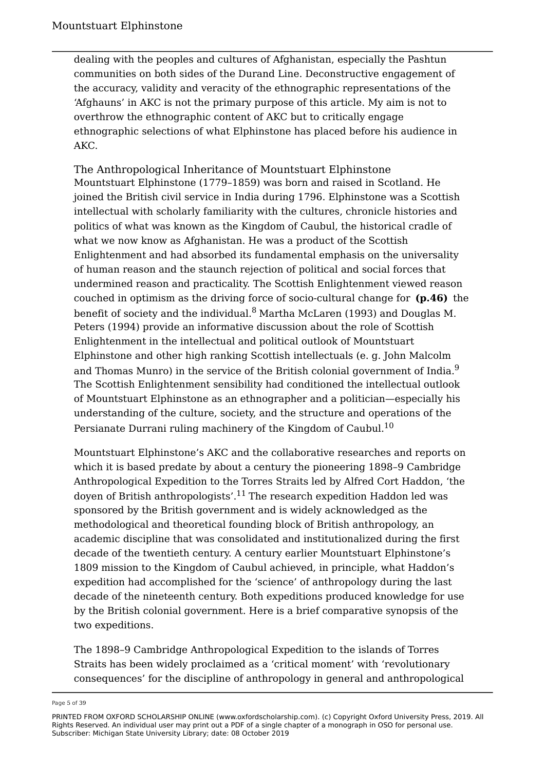dealing with the peoples and cultures of Afghanistan, especially the Pashtun communities on both sides of the Durand Line. Deconstructive engagement of the accuracy, validity and veracity of the ethnographic representations of the 'Afghauns' in AKC is not the primary purpose of this article. My aim is not to overthrow the ethnographic content of AKC but to critically engage ethnographic selections of what Elphinstone has placed before his audience in AKC.

The Anthropological Inheritance of Mountstuart Elphinstone Mountstuart Elphinstone (1779–1859) was born and raised in Scotland. He joined the British civil service in India during 1796. Elphinstone was a Scottish intellectual with scholarly familiarity with the cultures, chronicle histories and politics of what was known as the Kingdom of Caubul, the historical cradle of what we now know as Afghanistan. He was a product of the Scottish Enlightenment and had absorbed its fundamental emphasis on the universality of human reason and the staunch rejection of political and social forces that undermined reason and practicality. The Scottish Enlightenment viewed reason couched in optimism as the driving force of socio-cultural change for **(p.46)** the benefit of society and the individual. $8$  Martha McLaren (1993) and Douglas M. Peters (1994) provide an informative discussion about the role of Scottish Enlightenment in the intellectual and political outlook of Mountstuart Elphinstone and other high ranking Scottish intellectuals (e. g. John Malcolm and Thomas Munro) in the service of the British colonial government of India.<sup>9</sup> The Scottish Enlightenment sensibility had conditioned the intellectual outlook of Mountstuart Elphinstone as an ethnographer and a politician—especially his understanding of the culture, society, and the structure and operations of the Persianate Durrani ruling machinery of the Kingdom of Caubul.<sup>10</sup>

Mountstuart Elphinstone's AKC and the collaborative researches and reports on which it is based predate by about a century the pioneering 1898–9 Cambridge Anthropological Expedition to the Torres Straits led by Alfred Cort Haddon, 'the doyen of British anthropologists'.<sup>11</sup> The research expedition Haddon led was sponsored by the British government and is widely acknowledged as the methodological and theoretical founding block of British anthropology, an academic discipline that was consolidated and institutionalized during the first decade of the twentieth century. A century earlier Mountstuart Elphinstone's 1809 mission to the Kingdom of Caubul achieved, in principle, what Haddon's expedition had accomplished for the 'science' of anthropology during the last decade of the nineteenth century. Both expeditions produced knowledge for use by the British colonial government. Here is a brief comparative synopsis of the two expeditions.

The 1898–9 Cambridge Anthropological Expedition to the islands of Torres Straits has been widely proclaimed as a 'critical moment' with 'revolutionary consequences' for the discipline of anthropology in general and anthropological

Page 5 of 39

PRINTED FROM OXFORD SCHOLARSHIP ONLINE (www.oxfordscholarship.com). (c) Copyright Oxford University Press, 2019. All Rights Reserved. An individual user may print out a PDF of a single chapter of a monograph in OSO for personal use. Subscriber: Michigan State University Library; date: 08 October 2019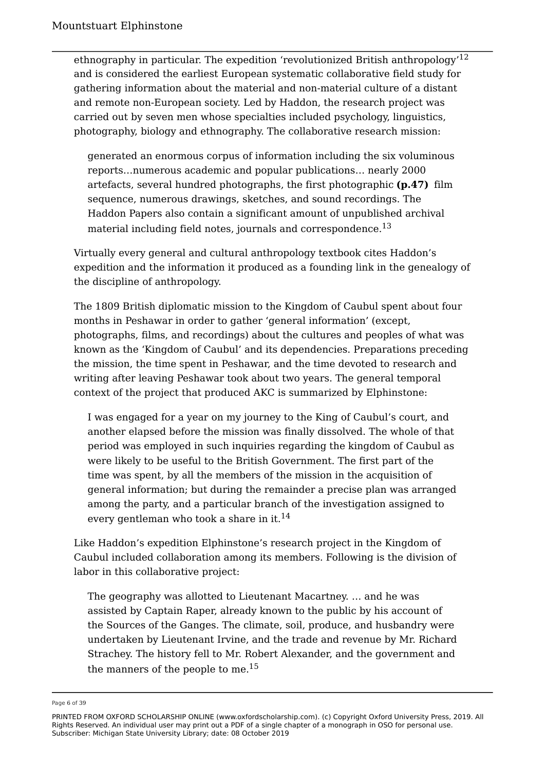ethnography in particular. The expedition 'revolutionized British anthropology'<sup>12</sup> and is considered the earliest European systematic collaborative field study for gathering information about the material and non-material culture of a distant and remote non-European society. Led by Haddon, the research project was carried out by seven men whose specialties included psychology, linguistics, photography, biology and ethnography. The collaborative research mission:

generated an enormous corpus of information including the six voluminous reports…numerous academic and popular publications… nearly 2000 artefacts, several hundred photographs, the first photographic **(p.47)** film sequence, numerous drawings, sketches, and sound recordings. The Haddon Papers also contain a significant amount of unpublished archival material including field notes, journals and correspondence.<sup>13</sup>

Virtually every general and cultural anthropology textbook cites Haddon's expedition and the information it produced as a founding link in the genealogy of the discipline of anthropology.

The 1809 British diplomatic mission to the Kingdom of Caubul spent about four months in Peshawar in order to gather 'general information' (except, photographs, films, and recordings) about the cultures and peoples of what was known as the 'Kingdom of Caubul' and its dependencies. Preparations preceding the mission, the time spent in Peshawar, and the time devoted to research and writing after leaving Peshawar took about two years. The general temporal context of the project that produced AKC is summarized by Elphinstone:

I was engaged for a year on my journey to the King of Caubul's court, and another elapsed before the mission was finally dissolved. The whole of that period was employed in such inquiries regarding the kingdom of Caubul as were likely to be useful to the British Government. The first part of the time was spent, by all the members of the mission in the acquisition of general information; but during the remainder a precise plan was arranged among the party, and a particular branch of the investigation assigned to every gentleman who took a share in it.<sup>14</sup>

Like Haddon's expedition Elphinstone's research project in the Kingdom of Caubul included collaboration among its members. Following is the division of labor in this collaborative project:

The geography was allotted to Lieutenant Macartney. … and he was assisted by Captain Raper, already known to the public by his account of the Sources of the Ganges. The climate, soil, produce, and husbandry were undertaken by Lieutenant Irvine, and the trade and revenue by Mr. Richard Strachey. The history fell to Mr. Robert Alexander, and the government and the manners of the people to me. $^{15}$ 

Page 6 of 39

PRINTED FROM OXFORD SCHOLARSHIP ONLINE (www.oxfordscholarship.com). (c) Copyright Oxford University Press, 2019. All Rights Reserved. An individual user may print out a PDF of a single chapter of a monograph in OSO for personal use. Subscriber: Michigan State University Library; date: 08 October 2019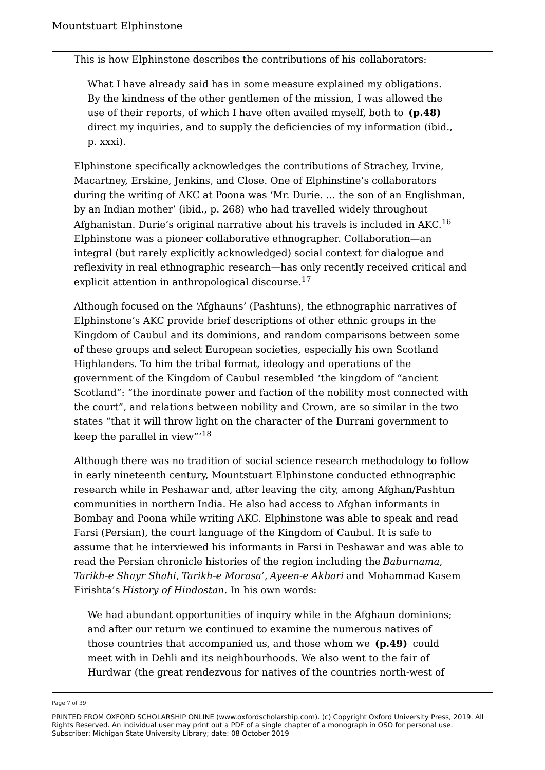This is how Elphinstone describes the contributions of his collaborators:

What I have already said has in some measure explained my obligations. By the kindness of the other gentlemen of the mission, I was allowed the use of their reports, of which I have often availed myself, both to **(p.48)** direct my inquiries, and to supply the deficiencies of my information (ibid., p. xxxi).

Elphinstone specifically acknowledges the contributions of Strachey, Irvine, Macartney, Erskine, Jenkins, and Close. One of Elphinstine's collaborators during the writing of AKC at Poona was 'Mr. Durie. … the son of an Englishman, by an Indian mother' (ibid., p. 268) who had travelled widely throughout Afghanistan. Durie's original narrative about his travels is included in AKC.<sup>16</sup> Elphinstone was a pioneer collaborative ethnographer. Collaboration—an integral (but rarely explicitly acknowledged) social context for dialogue and reflexivity in real ethnographic research—has only recently received critical and explicit attention in anthropological discourse.<sup>17</sup>

Although focused on the 'Afghauns' (Pashtuns), the ethnographic narratives of Elphinstone's AKC provide brief descriptions of other ethnic groups in the Kingdom of Caubul and its dominions, and random comparisons between some of these groups and select European societies, especially his own Scotland Highlanders. To him the tribal format, ideology and operations of the government of the Kingdom of Caubul resembled 'the kingdom of "ancient Scotland": "the inordinate power and faction of the nobility most connected with the court", and relations between nobility and Crown, are so similar in the two states "that it will throw light on the character of the Durrani government to keep the parallel in view"'<sup>18</sup>

Although there was no tradition of social science research methodology to follow in early nineteenth century, Mountstuart Elphinstone conducted ethnographic research while in Peshawar and, after leaving the city, among Afghan/Pashtun communities in northern India. He also had access to Afghan informants in Bombay and Poona while writing AKC. Elphinstone was able to speak and read Farsi (Persian), the court language of the Kingdom of Caubul. It is safe to assume that he interviewed his informants in Farsi in Peshawar and was able to read the Persian chronicle histories of the region including the *Baburnama*, *Tarikh-e Shayr Shahi*, *Tarikh-e Morasa'*, *Ayeen-e Akbari* and Mohammad Kasem Firishta's *History of Hindostan*. In his own words:

We had abundant opportunities of inquiry while in the Afghaun dominions; and after our return we continued to examine the numerous natives of those countries that accompanied us, and those whom we **(p.49)** could meet with in Dehli and its neighbourhoods. We also went to the fair of Hurdwar (the great rendezvous for natives of the countries north-west of

Page 7 of 39

PRINTED FROM OXFORD SCHOLARSHIP ONLINE (www.oxfordscholarship.com). (c) Copyright Oxford University Press, 2019. All Rights Reserved. An individual user may print out a PDF of a single chapter of a monograph in OSO for personal use. Subscriber: Michigan State University Library; date: 08 October 2019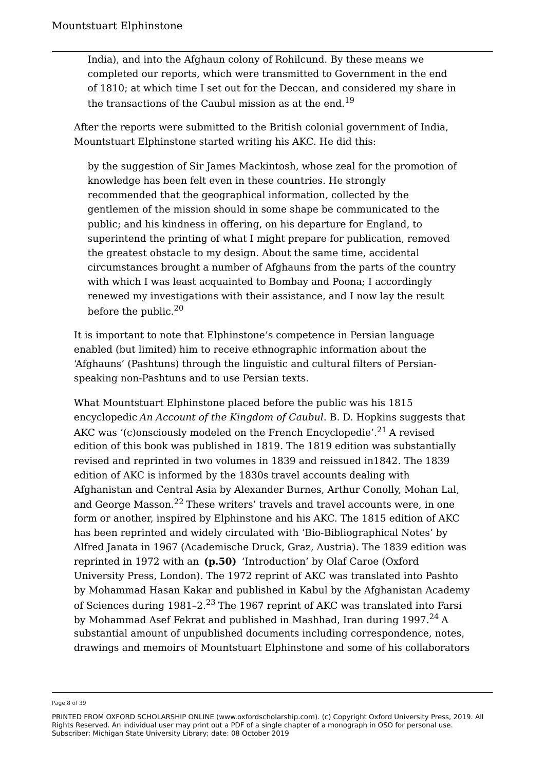India), and into the Afghaun colony of Rohilcund. By these means we completed our reports, which were transmitted to Government in the end of 1810; at which time I set out for the Deccan, and considered my share in the transactions of the Caubul mission as at the end.<sup>19</sup>

After the reports were submitted to the British colonial government of India, Mountstuart Elphinstone started writing his AKC. He did this:

by the suggestion of Sir James Mackintosh, whose zeal for the promotion of knowledge has been felt even in these countries. He strongly recommended that the geographical information, collected by the gentlemen of the mission should in some shape be communicated to the public; and his kindness in offering, on his departure for England, to superintend the printing of what I might prepare for publication, removed the greatest obstacle to my design. About the same time, accidental circumstances brought a number of Afghauns from the parts of the country with which I was least acquainted to Bombay and Poona; I accordingly renewed my investigations with their assistance, and I now lay the result before the public. $20$ 

It is important to note that Elphinstone's competence in Persian language enabled (but limited) him to receive ethnographic information about the 'Afghauns' (Pashtuns) through the linguistic and cultural filters of Persianspeaking non-Pashtuns and to use Persian texts.

What Mountstuart Elphinstone placed before the public was his 1815 encyclopedic *An Account of the Kingdom of Caubul*. B. D. Hopkins suggests that AKC was '(c)onsciously modeled on the French Encyclopedie'.<sup>21</sup> A revised edition of this book was published in 1819. The 1819 edition was substantially revised and reprinted in two volumes in 1839 and reissued in1842. The 1839 edition of AKC is informed by the 1830s travel accounts dealing with Afghanistan and Central Asia by Alexander Burnes, Arthur Conolly, Mohan Lal, and George Masson.<sup>22</sup> These writers' travels and travel accounts were, in one form or another, inspired by Elphinstone and his AKC. The 1815 edition of AKC has been reprinted and widely circulated with 'Bio-Bibliographical Notes' by Alfred Janata in 1967 (Academische Druck, Graz, Austria). The 1839 edition was reprinted in 1972 with an **(p.50)** 'Introduction' by Olaf Caroe (Oxford University Press, London). The 1972 reprint of AKC was translated into Pashto by Mohammad Hasan Kakar and published in Kabul by the Afghanistan Academy of Sciences during 1981-2.<sup>23</sup> The 1967 reprint of AKC was translated into Farsi by Mohammad Asef Fekrat and published in Mashhad, Iran during  $1997.^{24}$  A substantial amount of unpublished documents including correspondence, notes, drawings and memoirs of Mountstuart Elphinstone and some of his collaborators

Page 8 of 39

PRINTED FROM OXFORD SCHOLARSHIP ONLINE (www.oxfordscholarship.com). (c) Copyright Oxford University Press, 2019. All Rights Reserved. An individual user may print out a PDF of a single chapter of a monograph in OSO for personal use. Subscriber: Michigan State University Library; date: 08 October 2019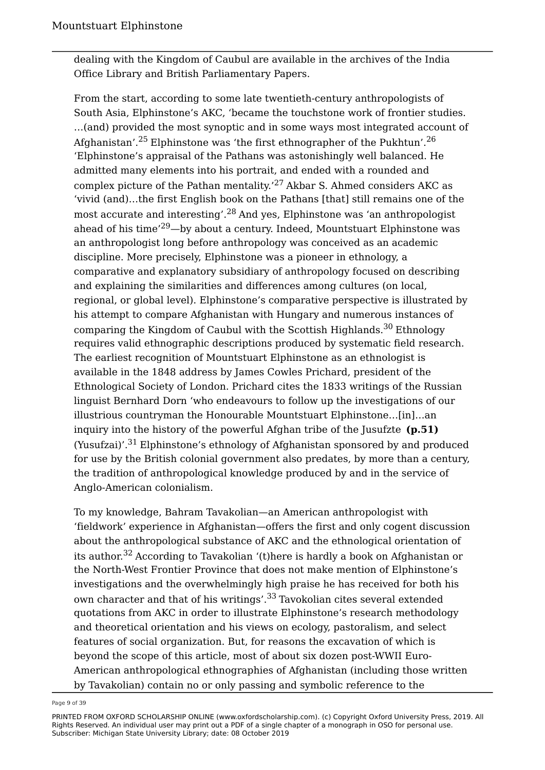dealing with the Kingdom of Caubul are available in the archives of the India Office Library and British Parliamentary Papers.

From the start, according to some late twentieth-century anthropologists of South Asia, Elphinstone's AKC, 'became the touchstone work of frontier studies. …(and) provided the most synoptic and in some ways most integrated account of Afghanistan'.<sup>25</sup> Elphinstone was 'the first ethnographer of the Pukhtun'.<sup>26</sup> 'Elphinstone's appraisal of the Pathans was astonishingly well balanced. He admitted many elements into his portrait, and ended with a rounded and complex picture of the Pathan mentality.<sup> $27$ </sup> Akbar S. Ahmed considers AKC as 'vivid (and)…the first English book on the Pathans [that] still remains one of the most accurate and interesting'.<sup>28</sup> And yes, Elphinstone was 'an anthropologist ahead of his time'29—by about a century. Indeed, Mountstuart Elphinstone was an anthropologist long before anthropology was conceived as an academic discipline. More precisely, Elphinstone was a pioneer in ethnology, a comparative and explanatory subsidiary of anthropology focused on describing and explaining the similarities and differences among cultures (on local, regional, or global level). Elphinstone's comparative perspective is illustrated by his attempt to compare Afghanistan with Hungary and numerous instances of comparing the Kingdom of Caubul with the Scottish Highlands.<sup>30</sup> Ethnology requires valid ethnographic descriptions produced by systematic field research. The earliest recognition of Mountstuart Elphinstone as an ethnologist is available in the 1848 address by James Cowles Prichard, president of the Ethnological Society of London. Prichard cites the 1833 writings of the Russian linguist Bernhard Dorn 'who endeavours to follow up the investigations of our illustrious countryman the Honourable Mountstuart Elphinstone…[in]…an inquiry into the history of the powerful Afghan tribe of the Jusufzte **(p.51)** (Yusufzai)'.<sup>31</sup> Elphinstone's ethnology of Afghanistan sponsored by and produced for use by the British colonial government also predates, by more than a century, the tradition of anthropological knowledge produced by and in the service of Anglo-American colonialism.

To my knowledge, Bahram Tavakolian—an American anthropologist with 'fieldwork' experience in Afghanistan—offers the first and only cogent discussion about the anthropological substance of AKC and the ethnological orientation of its author.<sup>32</sup> According to Tavakolian '(t)here is hardly a book on Afghanistan or the North-West Frontier Province that does not make mention of Elphinstone's investigations and the overwhelmingly high praise he has received for both his own character and that of his writings'.<sup>33</sup> Tavokolian cites several extended quotations from AKC in order to illustrate Elphinstone's research methodology and theoretical orientation and his views on ecology, pastoralism, and select features of social organization. But, for reasons the excavation of which is beyond the scope of this article, most of about six dozen post-WWII Euro-American anthropological ethnographies of Afghanistan (including those written by Tavakolian) contain no or only passing and symbolic reference to the

Page 9 of 39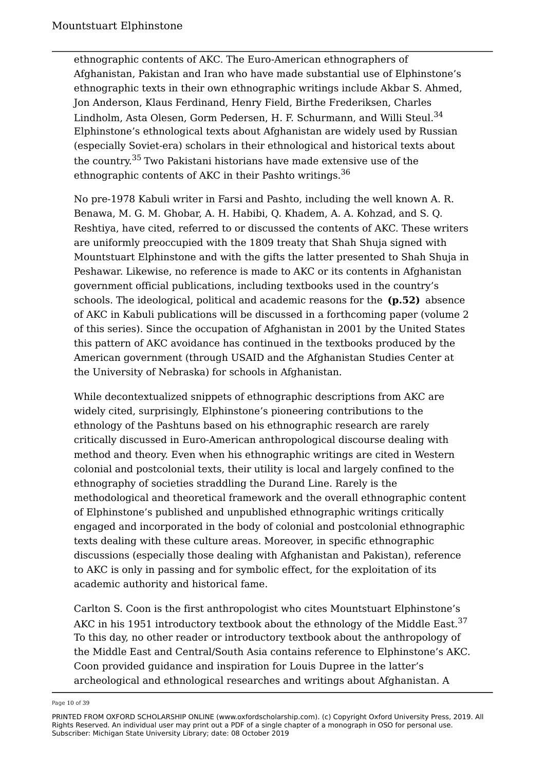ethnographic contents of AKC. The Euro-American ethnographers of Afghanistan, Pakistan and Iran who have made substantial use of Elphinstone's ethnographic texts in their own ethnographic writings include Akbar S. Ahmed, Jon Anderson, Klaus Ferdinand, Henry Field, Birthe Frederiksen, Charles Lindholm, Asta Olesen, Gorm Pedersen, H. F. Schurmann, and Willi Steul.<sup>34</sup> Elphinstone's ethnological texts about Afghanistan are widely used by Russian (especially Soviet-era) scholars in their ethnological and historical texts about the country.<sup>35</sup> Two Pakistani historians have made extensive use of the ethnographic contents of AKC in their Pashto writings.<sup>36</sup>

No pre-1978 Kabuli writer in Farsi and Pashto, including the well known A. R. Benawa, M. G. M. Ghobar, A. H. Habibi, Q. Khadem, A. A. Kohzad, and S. Q. Reshtiya, have cited, referred to or discussed the contents of AKC. These writers are uniformly preoccupied with the 1809 treaty that Shah Shuja signed with Mountstuart Elphinstone and with the gifts the latter presented to Shah Shuja in Peshawar. Likewise, no reference is made to AKC or its contents in Afghanistan government official publications, including textbooks used in the country's schools. The ideological, political and academic reasons for the **(p.52)** absence of AKC in Kabuli publications will be discussed in a forthcoming paper (volume 2 of this series). Since the occupation of Afghanistan in 2001 by the United States this pattern of AKC avoidance has continued in the textbooks produced by the American government (through USAID and the Afghanistan Studies Center at the University of Nebraska) for schools in Afghanistan.

While decontextualized snippets of ethnographic descriptions from AKC are widely cited, surprisingly, Elphinstone's pioneering contributions to the ethnology of the Pashtuns based on his ethnographic research are rarely critically discussed in Euro-American anthropological discourse dealing with method and theory. Even when his ethnographic writings are cited in Western colonial and postcolonial texts, their utility is local and largely confined to the ethnography of societies straddling the Durand Line. Rarely is the methodological and theoretical framework and the overall ethnographic content of Elphinstone's published and unpublished ethnographic writings critically engaged and incorporated in the body of colonial and postcolonial ethnographic texts dealing with these culture areas. Moreover, in specific ethnographic discussions (especially those dealing with Afghanistan and Pakistan), reference to AKC is only in passing and for symbolic effect, for the exploitation of its academic authority and historical fame.

Carlton S. Coon is the first anthropologist who cites Mountstuart Elphinstone's AKC in his 1951 introductory textbook about the ethnology of the Middle East.<sup>37</sup> To this day, no other reader or introductory textbook about the anthropology of the Middle East and Central/South Asia contains reference to Elphinstone's AKC. Coon provided guidance and inspiration for Louis Dupree in the latter's archeological and ethnological researches and writings about Afghanistan. A

Page 10 of 39

PRINTED FROM OXFORD SCHOLARSHIP ONLINE (www.oxfordscholarship.com). (c) Copyright Oxford University Press, 2019. All Rights Reserved. An individual user may print out a PDF of a single chapter of a monograph in OSO for personal use. Subscriber: Michigan State University Library; date: 08 October 2019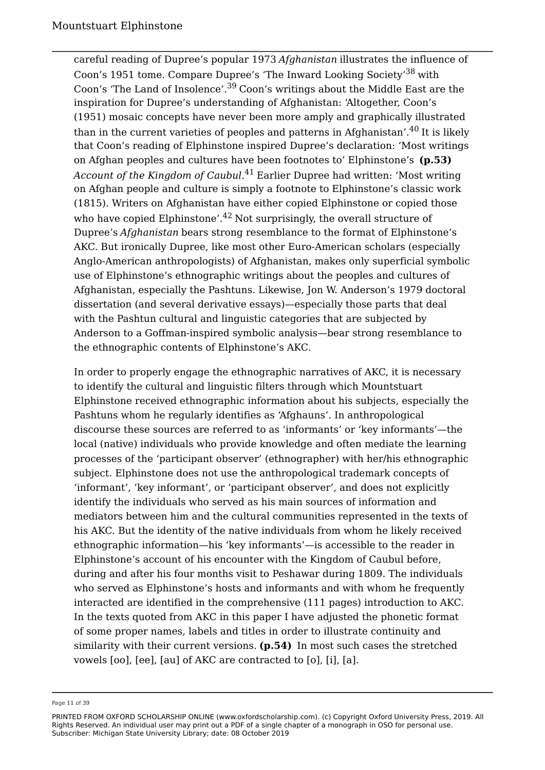careful reading of Dupree's popular 1973 *Afghanistan* illustrates the influence of Coon's 1951 tome. Compare Dupree's 'The Inward Looking Society'<sup>38</sup> with Coon's 'The Land of Insolence'.<sup>39</sup> Coon's writings about the Middle East are the inspiration for Dupree's understanding of Afghanistan: 'Altogether, Coon's (1951) mosaic concepts have never been more amply and graphically illustrated than in the current varieties of peoples and patterns in Afghanistan'.<sup>40</sup> It is likely that Coon's reading of Elphinstone inspired Dupree's declaration: 'Most writings on Afghan peoples and cultures have been footnotes to' Elphinstone's **(p.53)** *Account of the Kingdom of Caubul*. <sup>41</sup> Earlier Dupree had written: 'Most writing on Afghan people and culture is simply a footnote to Elphinstone's classic work (1815). Writers on Afghanistan have either copied Elphinstone or copied those who have copied Elphinstone'.<sup>42</sup> Not surprisingly, the overall structure of Dupree's *Afghanistan* bears strong resemblance to the format of Elphinstone's AKC. But ironically Dupree, like most other Euro-American scholars (especially Anglo-American anthropologists) of Afghanistan, makes only superficial symbolic use of Elphinstone's ethnographic writings about the peoples and cultures of Afghanistan, especially the Pashtuns. Likewise, Jon W. Anderson's 1979 doctoral dissertation (and several derivative essays)—especially those parts that deal with the Pashtun cultural and linguistic categories that are subjected by Anderson to a Goffman-inspired symbolic analysis—bear strong resemblance to the ethnographic contents of Elphinstone's AKC.

In order to properly engage the ethnographic narratives of AKC, it is necessary to identify the cultural and linguistic filters through which Mountstuart Elphinstone received ethnographic information about his subjects, especially the Pashtuns whom he regularly identifies as 'Afghauns'. In anthropological discourse these sources are referred to as 'informants' or 'key informants'—the local (native) individuals who provide knowledge and often mediate the learning processes of the 'participant observer' (ethnographer) with her/his ethnographic subject. Elphinstone does not use the anthropological trademark concepts of 'informant', 'key informant', or 'participant observer', and does not explicitly identify the individuals who served as his main sources of information and mediators between him and the cultural communities represented in the texts of his AKC. But the identity of the native individuals from whom he likely received ethnographic information—his 'key informants'—is accessible to the reader in Elphinstone's account of his encounter with the Kingdom of Caubul before, during and after his four months visit to Peshawar during 1809. The individuals who served as Elphinstone's hosts and informants and with whom he frequently interacted are identified in the comprehensive (111 pages) introduction to AKC. In the texts quoted from AKC in this paper I have adjusted the phonetic format of some proper names, labels and titles in order to illustrate continuity and similarity with their current versions. **(p.54)** In most such cases the stretched vowels [oo], [ee], [au] of AKC are contracted to [o], [i], [a].

Page 11 of 39

PRINTED FROM OXFORD SCHOLARSHIP ONLINE (www.oxfordscholarship.com). (c) Copyright Oxford University Press, 2019. All Rights Reserved. An individual user may print out a PDF of a single chapter of a monograph in OSO for personal use. Subscriber: Michigan State University Library; date: 08 October 2019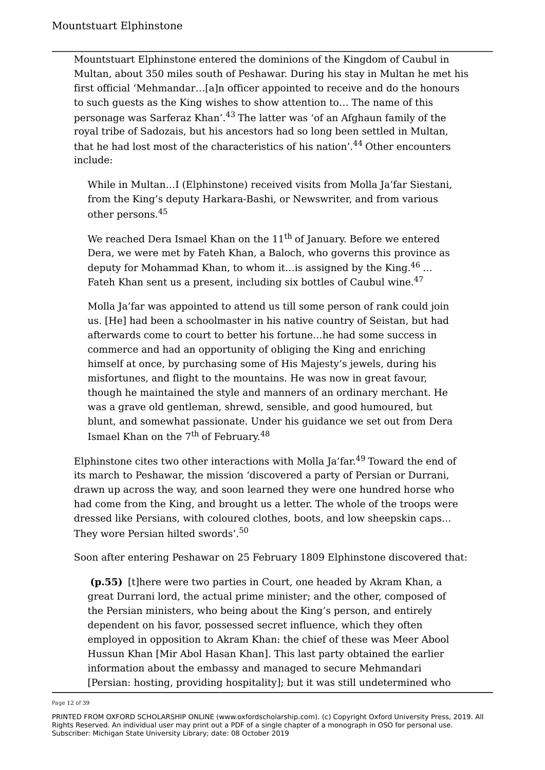Mountstuart Elphinstone entered the dominions of the Kingdom of Caubul in Multan, about 350 miles south of Peshawar. During his stay in Multan he met his first official 'Mehmandar…[a]n officer appointed to receive and do the honours to such guests as the King wishes to show attention to… The name of this personage was Sarferaz Khan'.<sup>43</sup> The latter was 'of an Afghaun family of the royal tribe of Sadozais, but his ancestors had so long been settled in Multan, that he had lost most of the characteristics of his nation'.<sup>44</sup> Other encounters include:

While in Multan…I (Elphinstone) received visits from Molla Ja'far Siestani, from the King's deputy Harkara-Bashi, or Newswriter, and from various other persons.<sup>45</sup>

We reached Dera Ismael Khan on the  $11<sup>th</sup>$  of January. Before we entered Dera, we were met by Fateh Khan, a Baloch, who governs this province as deputy for Mohammad Khan, to whom it... is assigned by the King.  $46$  ... Fateh Khan sent us a present, including six bottles of Caubul wine.<sup>47</sup>

Molla Ja'far was appointed to attend us till some person of rank could join us. [He] had been a schoolmaster in his native country of Seistan, but had afterwards come to court to better his fortune…he had some success in commerce and had an opportunity of obliging the King and enriching himself at once, by purchasing some of His Majesty's jewels, during his misfortunes, and flight to the mountains. He was now in great favour, though he maintained the style and manners of an ordinary merchant. He was a grave old gentleman, shrewd, sensible, and good humoured, but blunt, and somewhat passionate. Under his guidance we set out from Dera Ismael Khan on the 7<sup>th</sup> of February.<sup>48</sup>

Elphinstone cites two other interactions with Molla Ja'far.<sup>49</sup> Toward the end of its march to Peshawar, the mission 'discovered a party of Persian or Durrani, drawn up across the way, and soon learned they were one hundred horse who had come from the King, and brought us a letter. The whole of the troops were dressed like Persians, with coloured clothes, boots, and low sheepskin caps… They wore Persian hilted swords'.<sup>50</sup>

Soon after entering Peshawar on 25 February 1809 Elphinstone discovered that:

 **(p.55)** [t]here were two parties in Court, one headed by Akram Khan, a great Durrani lord, the actual prime minister; and the other, composed of the Persian ministers, who being about the King's person, and entirely dependent on his favor, possessed secret influence, which they often employed in opposition to Akram Khan: the chief of these was Meer Abool Hussun Khan [Mir Abol Hasan Khan]. This last party obtained the earlier information about the embassy and managed to secure Mehmandari [Persian: hosting, providing hospitality]; but it was still undetermined who

Page 12 of 39

PRINTED FROM OXFORD SCHOLARSHIP ONLINE (www.oxfordscholarship.com). (c) Copyright Oxford University Press, 2019. All Rights Reserved. An individual user may print out a PDF of a single chapter of a monograph in OSO for personal use. Subscriber: Michigan State University Library; date: 08 October 2019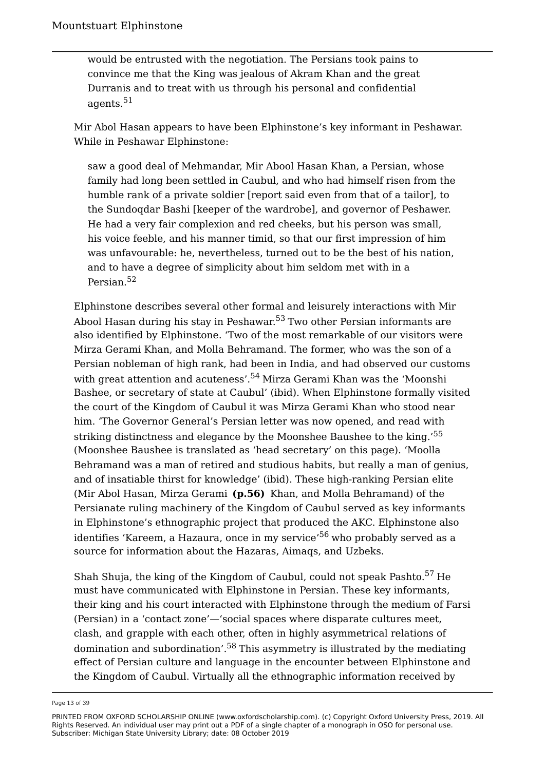would be entrusted with the negotiation. The Persians took pains to convince me that the King was jealous of Akram Khan and the great Durranis and to treat with us through his personal and confidential agents.<sup>51</sup>

Mir Abol Hasan appears to have been Elphinstone's key informant in Peshawar. While in Peshawar Elphinstone:

saw a good deal of Mehmandar, Mir Abool Hasan Khan, a Persian, whose family had long been settled in Caubul, and who had himself risen from the humble rank of a private soldier [report said even from that of a tailor], to the Sundoqdar Bashi [keeper of the wardrobe], and governor of Peshawer. He had a very fair complexion and red cheeks, but his person was small, his voice feeble, and his manner timid, so that our first impression of him was unfavourable: he, nevertheless, turned out to be the best of his nation, and to have a degree of simplicity about him seldom met with in a Persian.<sup>52</sup>

Elphinstone describes several other formal and leisurely interactions with Mir Abool Hasan during his stay in Peshawar.<sup>53</sup> Two other Persian informants are also identified by Elphinstone. 'Two of the most remarkable of our visitors were Mirza Gerami Khan, and Molla Behramand. The former, who was the son of a Persian nobleman of high rank, had been in India, and had observed our customs with great attention and acuteness'.<sup>54</sup> Mirza Gerami Khan was the 'Moonshi Bashee, or secretary of state at Caubul' (ibid). When Elphinstone formally visited the court of the Kingdom of Caubul it was Mirza Gerami Khan who stood near him. 'The Governor General's Persian letter was now opened, and read with striking distinctness and elegance by the Moonshee Baushee to the king.<sup>'55</sup> (Moonshee Baushee is translated as 'head secretary' on this page). 'Moolla Behramand was a man of retired and studious habits, but really a man of genius, and of insatiable thirst for knowledge' (ibid). These high-ranking Persian elite (Mir Abol Hasan, Mirza Gerami **(p.56)** Khan, and Molla Behramand) of the Persianate ruling machinery of the Kingdom of Caubul served as key informants in Elphinstone's ethnographic project that produced the AKC. Elphinstone also identifies 'Kareem, a Hazaura, once in my service'<sup>56</sup> who probably served as a source for information about the Hazaras, Aimaqs, and Uzbeks.

Shah Shuja, the king of the Kingdom of Caubul, could not speak Pashto.<sup>57</sup> He must have communicated with Elphinstone in Persian. These key informants, their king and his court interacted with Elphinstone through the medium of Farsi (Persian) in a 'contact zone'—'social spaces where disparate cultures meet, clash, and grapple with each other, often in highly asymmetrical relations of domination and subordination'.<sup>58</sup> This asymmetry is illustrated by the mediating effect of Persian culture and language in the encounter between Elphinstone and the Kingdom of Caubul. Virtually all the ethnographic information received by

Page 13 of 39

PRINTED FROM OXFORD SCHOLARSHIP ONLINE (www.oxfordscholarship.com). (c) Copyright Oxford University Press, 2019. All Rights Reserved. An individual user may print out a PDF of a single chapter of a monograph in OSO for personal use. Subscriber: Michigan State University Library; date: 08 October 2019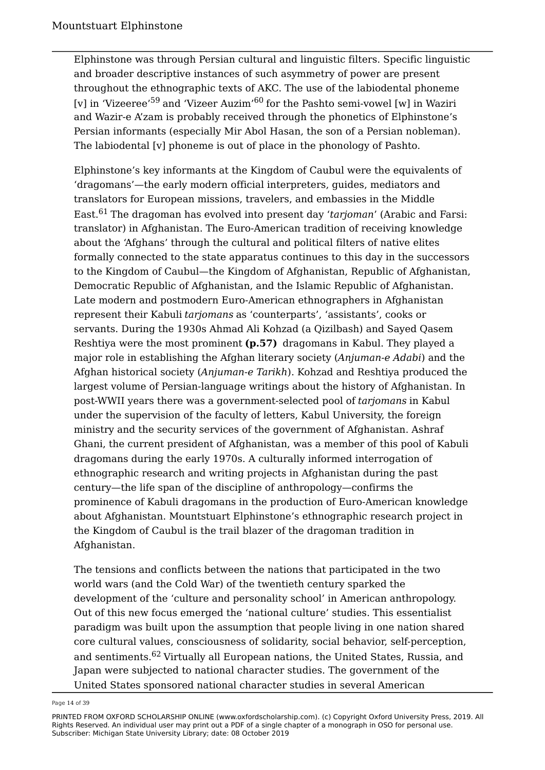Elphinstone was through Persian cultural and linguistic filters. Specific linguistic and broader descriptive instances of such asymmetry of power are present throughout the ethnographic texts of AKC. The use of the labiodental phoneme [v] in 'Vizeeree'<sup>59</sup> and 'Vizeer Auzim'<sup>60</sup> for the Pashto semi-vowel [w] in Waziri and Wazir-e A'zam is probably received through the phonetics of Elphinstone's Persian informants (especially Mir Abol Hasan, the son of a Persian nobleman). The labiodental [v] phoneme is out of place in the phonology of Pashto.

Elphinstone's key informants at the Kingdom of Caubul were the equivalents of 'dragomans'—the early modern official interpreters, guides, mediators and translators for European missions, travelers, and embassies in the Middle East.<sup>61</sup> The dragoman has evolved into present day '*tarjoman*' (Arabic and Farsi: translator) in Afghanistan. The Euro-American tradition of receiving knowledge about the 'Afghans' through the cultural and political filters of native elites formally connected to the state apparatus continues to this day in the successors to the Kingdom of Caubul—the Kingdom of Afghanistan, Republic of Afghanistan, Democratic Republic of Afghanistan, and the Islamic Republic of Afghanistan. Late modern and postmodern Euro-American ethnographers in Afghanistan represent their Kabuli *tarjomans* as 'counterparts', 'assistants', cooks or servants. During the 1930s Ahmad Ali Kohzad (a Qizilbash) and Sayed Qasem Reshtiya were the most prominent **(p.57)** dragomans in Kabul. They played a major role in establishing the Afghan literary society (*Anjuman-e Adabi*) and the Afghan historical society (*Anjuman-e Tarikh*). Kohzad and Reshtiya produced the largest volume of Persian-language writings about the history of Afghanistan. In post-WWII years there was a government-selected pool of *tarjomans* in Kabul under the supervision of the faculty of letters, Kabul University, the foreign ministry and the security services of the government of Afghanistan. Ashraf Ghani, the current president of Afghanistan, was a member of this pool of Kabuli dragomans during the early 1970s. A culturally informed interrogation of ethnographic research and writing projects in Afghanistan during the past century—the life span of the discipline of anthropology—confirms the prominence of Kabuli dragomans in the production of Euro-American knowledge about Afghanistan. Mountstuart Elphinstone's ethnographic research project in the Kingdom of Caubul is the trail blazer of the dragoman tradition in Afghanistan.

The tensions and conflicts between the nations that participated in the two world wars (and the Cold War) of the twentieth century sparked the development of the 'culture and personality school' in American anthropology. Out of this new focus emerged the 'national culture' studies. This essentialist paradigm was built upon the assumption that people living in one nation shared core cultural values, consciousness of solidarity, social behavior, self-perception, and sentiments.<sup>62</sup> Virtually all European nations, the United States, Russia, and Japan were subjected to national character studies. The government of the United States sponsored national character studies in several American

Page 14 of 39

PRINTED FROM OXFORD SCHOLARSHIP ONLINE (www.oxfordscholarship.com). (c) Copyright Oxford University Press, 2019. All Rights Reserved. An individual user may print out a PDF of a single chapter of a monograph in OSO for personal use. Subscriber: Michigan State University Library; date: 08 October 2019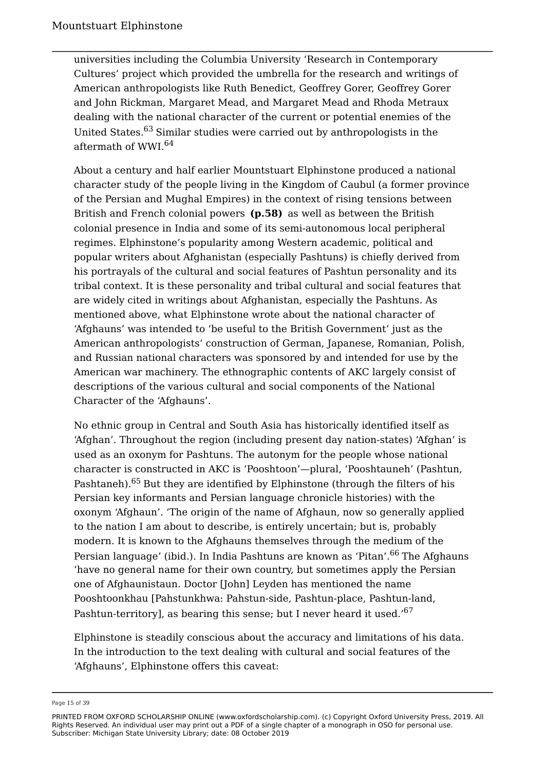universities including the Columbia University 'Research in Contemporary Cultures' project which provided the umbrella for the research and writings of American anthropologists like Ruth Benedict, Geoffrey Gorer, Geoffrey Gorer and John Rickman, Margaret Mead, and Margaret Mead and Rhoda Metraux dealing with the national character of the current or potential enemies of the United States.<sup>63</sup> Similar studies were carried out by anthropologists in the aftermath of WWI.<sup>64</sup>

About a century and half earlier Mountstuart Elphinstone produced a national character study of the people living in the Kingdom of Caubul (a former province of the Persian and Mughal Empires) in the context of rising tensions between British and French colonial powers **(p.58)** as well as between the British colonial presence in India and some of its semi-autonomous local peripheral regimes. Elphinstone's popularity among Western academic, political and popular writers about Afghanistan (especially Pashtuns) is chiefly derived from his portrayals of the cultural and social features of Pashtun personality and its tribal context. It is these personality and tribal cultural and social features that are widely cited in writings about Afghanistan, especially the Pashtuns. As mentioned above, what Elphinstone wrote about the national character of 'Afghauns' was intended to 'be useful to the British Government' just as the American anthropologists' construction of German, Japanese, Romanian, Polish, and Russian national characters was sponsored by and intended for use by the American war machinery. The ethnographic contents of AKC largely consist of descriptions of the various cultural and social components of the National Character of the 'Afghauns'.

No ethnic group in Central and South Asia has historically identified itself as 'Afghan'. Throughout the region (including present day nation-states) 'Afghan' is used as an oxonym for Pashtuns. The autonym for the people whose national character is constructed in AKC is 'Pooshtoon'—plural, 'Pooshtauneh' (Pashtun, Pashtaneh).<sup>65</sup> But they are identified by Elphinstone (through the filters of his Persian key informants and Persian language chronicle histories) with the oxonym 'Afghaun'. 'The origin of the name of Afghaun, now so generally applied to the nation I am about to describe, is entirely uncertain; but is, probably modern. It is known to the Afghauns themselves through the medium of the Persian language' (ibid.). In India Pashtuns are known as 'Pitan'.<sup>66</sup> The Afghauns 'have no general name for their own country, but sometimes apply the Persian one of Afghaunistaun. Doctor [John] Leyden has mentioned the name Pooshtoonkhau [Pahstunkhwa: Pahstun-side, Pashtun-place, Pashtun-land, Pashtun-territory], as bearing this sense; but I never heard it used.'<sup>67</sup>

Elphinstone is steadily conscious about the accuracy and limitations of his data. In the introduction to the text dealing with cultural and social features of the 'Afghauns', Elphinstone offers this caveat:

Page 15 of 39

PRINTED FROM OXFORD SCHOLARSHIP ONLINE (www.oxfordscholarship.com). (c) Copyright Oxford University Press, 2019. All Rights Reserved. An individual user may print out a PDF of a single chapter of a monograph in OSO for personal use. Subscriber: Michigan State University Library; date: 08 October 2019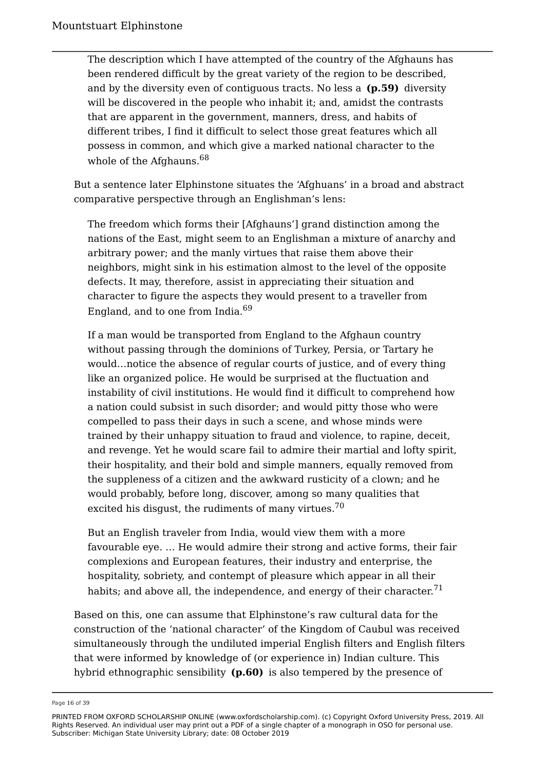The description which I have attempted of the country of the Afghauns has been rendered difficult by the great variety of the region to be described, and by the diversity even of contiguous tracts. No less a **(p.59)** diversity will be discovered in the people who inhabit it; and, amidst the contrasts that are apparent in the government, manners, dress, and habits of different tribes, I find it difficult to select those great features which all possess in common, and which give a marked national character to the whole of the Afghauns.<sup>68</sup>

But a sentence later Elphinstone situates the 'Afghuans' in a broad and abstract comparative perspective through an Englishman's lens:

The freedom which forms their [Afghauns'] grand distinction among the nations of the East, might seem to an Englishman a mixture of anarchy and arbitrary power; and the manly virtues that raise them above their neighbors, might sink in his estimation almost to the level of the opposite defects. It may, therefore, assist in appreciating their situation and character to figure the aspects they would present to a traveller from England, and to one from India.<sup>69</sup>

If a man would be transported from England to the Afghaun country without passing through the dominions of Turkey, Persia, or Tartary he would…notice the absence of regular courts of justice, and of every thing like an organized police. He would be surprised at the fluctuation and instability of civil institutions. He would find it difficult to comprehend how a nation could subsist in such disorder; and would pitty those who were compelled to pass their days in such a scene, and whose minds were trained by their unhappy situation to fraud and violence, to rapine, deceit, and revenge. Yet he would scare fail to admire their martial and lofty spirit, their hospitality, and their bold and simple manners, equally removed from the suppleness of a citizen and the awkward rusticity of a clown; and he would probably, before long, discover, among so many qualities that excited his disgust, the rudiments of many virtues.<sup>70</sup>

But an English traveler from India, would view them with a more favourable eye. … He would admire their strong and active forms, their fair complexions and European features, their industry and enterprise, the hospitality, sobriety, and contempt of pleasure which appear in all their habits; and above all, the independence, and energy of their character.<sup>71</sup>

Based on this, one can assume that Elphinstone's raw cultural data for the construction of the 'national character' of the Kingdom of Caubul was received simultaneously through the undiluted imperial English filters and English filters that were informed by knowledge of (or experience in) Indian culture. This hybrid ethnographic sensibility **(p.60)** is also tempered by the presence of

Page 16 of 39

PRINTED FROM OXFORD SCHOLARSHIP ONLINE (www.oxfordscholarship.com). (c) Copyright Oxford University Press, 2019. All Rights Reserved. An individual user may print out a PDF of a single chapter of a monograph in OSO for personal use. Subscriber: Michigan State University Library; date: 08 October 2019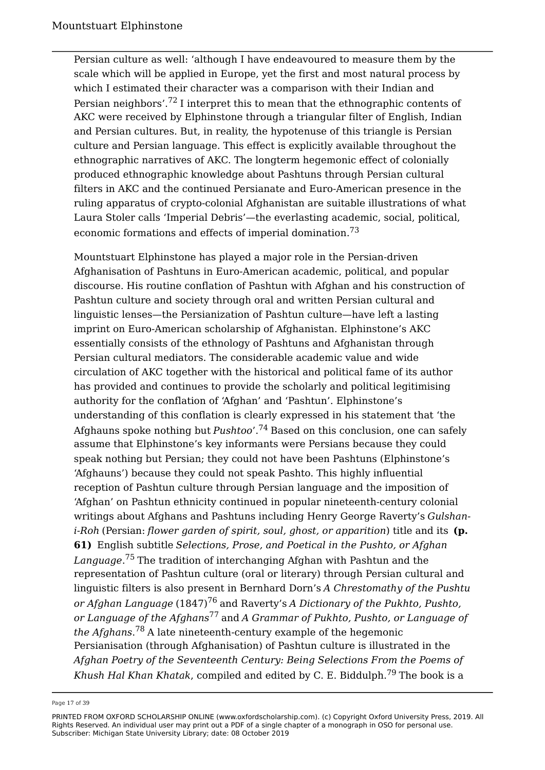Persian culture as well: 'although I have endeavoured to measure them by the scale which will be applied in Europe, yet the first and most natural process by which I estimated their character was a comparison with their Indian and Persian neighbors'.<sup>72</sup> I interpret this to mean that the ethnographic contents of AKC were received by Elphinstone through a triangular filter of English, Indian and Persian cultures. But, in reality, the hypotenuse of this triangle is Persian culture and Persian language. This effect is explicitly available throughout the ethnographic narratives of AKC. The longterm hegemonic effect of colonially produced ethnographic knowledge about Pashtuns through Persian cultural filters in AKC and the continued Persianate and Euro-American presence in the ruling apparatus of crypto-colonial Afghanistan are suitable illustrations of what Laura Stoler calls 'Imperial Debris'—the everlasting academic, social, political, economic formations and effects of imperial domination.<sup>73</sup>

Mountstuart Elphinstone has played a major role in the Persian-driven Afghanisation of Pashtuns in Euro-American academic, political, and popular discourse. His routine conflation of Pashtun with Afghan and his construction of Pashtun culture and society through oral and written Persian cultural and linguistic lenses—the Persianization of Pashtun culture—have left a lasting imprint on Euro-American scholarship of Afghanistan. Elphinstone's AKC essentially consists of the ethnology of Pashtuns and Afghanistan through Persian cultural mediators. The considerable academic value and wide circulation of AKC together with the historical and political fame of its author has provided and continues to provide the scholarly and political legitimising authority for the conflation of 'Afghan' and 'Pashtun'. Elphinstone's understanding of this conflation is clearly expressed in his statement that 'the Afghauns spoke nothing but *Pushtoo*'.<sup>74</sup> Based on this conclusion, one can safely assume that Elphinstone's key informants were Persians because they could speak nothing but Persian; they could not have been Pashtuns (Elphinstone's 'Afghauns') because they could not speak Pashto. This highly influential reception of Pashtun culture through Persian language and the imposition of 'Afghan' on Pashtun ethnicity continued in popular nineteenth-century colonial writings about Afghans and Pashtuns including Henry George Raverty's *Gulshani-Roh* (Persian: *flower garden of spirit, soul, ghost, or apparition*) title and its **(p. 61)** English subtitle *Selections, Prose, and Poetical in the Pushto, or Afghan Language*. <sup>75</sup> The tradition of interchanging Afghan with Pashtun and the representation of Pashtun culture (oral or literary) through Persian cultural and linguistic filters is also present in Bernhard Dorn's *A Chrestomathy of the Pushtu or Afghan Language* (1847)<sup>76</sup> and Raverty's *A Dictionary of the Pukhto, Pushto, or Language of the Afghans*<sup>77</sup> and *A Grammar of Pukhto, Pushto, or Language of the Afghans*. <sup>78</sup> A late nineteenth-century example of the hegemonic Persianisation (through Afghanisation) of Pashtun culture is illustrated in the *Afghan Poetry of the Seventeenth Century: Being Selections From the Poems of Khush Hal Khan Khatak*, compiled and edited by C. E. Biddulph.<sup>79</sup> The book is a

Page 17 of 39

PRINTED FROM OXFORD SCHOLARSHIP ONLINE (www.oxfordscholarship.com). (c) Copyright Oxford University Press, 2019. All Rights Reserved. An individual user may print out a PDF of a single chapter of a monograph in OSO for personal use. Subscriber: Michigan State University Library; date: 08 October 2019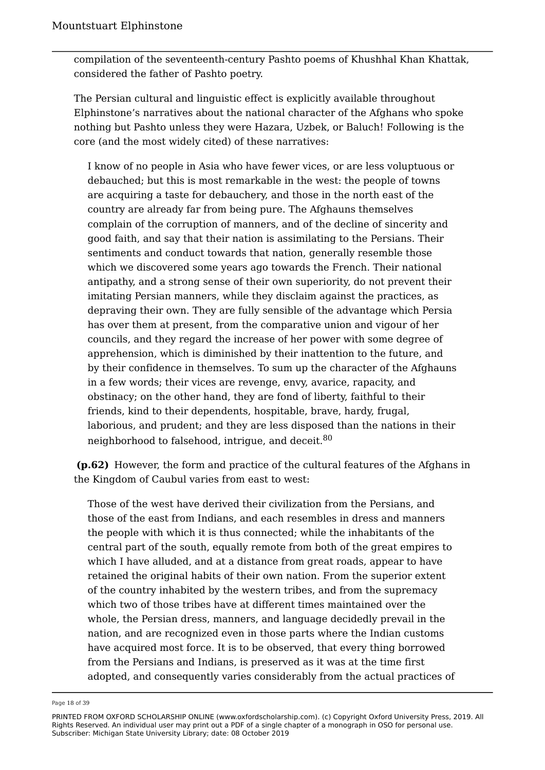compilation of the seventeenth-century Pashto poems of Khushhal Khan Khattak, considered the father of Pashto poetry.

The Persian cultural and linguistic effect is explicitly available throughout Elphinstone's narratives about the national character of the Afghans who spoke nothing but Pashto unless they were Hazara, Uzbek, or Baluch! Following is the core (and the most widely cited) of these narratives:

I know of no people in Asia who have fewer vices, or are less voluptuous or debauched; but this is most remarkable in the west: the people of towns are acquiring a taste for debauchery, and those in the north east of the country are already far from being pure. The Afghauns themselves complain of the corruption of manners, and of the decline of sincerity and good faith, and say that their nation is assimilating to the Persians. Their sentiments and conduct towards that nation, generally resemble those which we discovered some years ago towards the French. Their national antipathy, and a strong sense of their own superiority, do not prevent their imitating Persian manners, while they disclaim against the practices, as depraving their own. They are fully sensible of the advantage which Persia has over them at present, from the comparative union and vigour of her councils, and they regard the increase of her power with some degree of apprehension, which is diminished by their inattention to the future, and by their confidence in themselves. To sum up the character of the Afghauns in a few words; their vices are revenge, envy, avarice, rapacity, and obstinacy; on the other hand, they are fond of liberty, faithful to their friends, kind to their dependents, hospitable, brave, hardy, frugal, laborious, and prudent; and they are less disposed than the nations in their neighborhood to falsehood, intrigue, and deceit.<sup>80</sup>

 **(p.62)** However, the form and practice of the cultural features of the Afghans in the Kingdom of Caubul varies from east to west:

Those of the west have derived their civilization from the Persians, and those of the east from Indians, and each resembles in dress and manners the people with which it is thus connected; while the inhabitants of the central part of the south, equally remote from both of the great empires to which I have alluded, and at a distance from great roads, appear to have retained the original habits of their own nation. From the superior extent of the country inhabited by the western tribes, and from the supremacy which two of those tribes have at different times maintained over the whole, the Persian dress, manners, and language decidedly prevail in the nation, and are recognized even in those parts where the Indian customs have acquired most force. It is to be observed, that every thing borrowed from the Persians and Indians, is preserved as it was at the time first adopted, and consequently varies considerably from the actual practices of

Page 18 of 39

PRINTED FROM OXFORD SCHOLARSHIP ONLINE (www.oxfordscholarship.com). (c) Copyright Oxford University Press, 2019. All Rights Reserved. An individual user may print out a PDF of a single chapter of a monograph in OSO for personal use. Subscriber: Michigan State University Library; date: 08 October 2019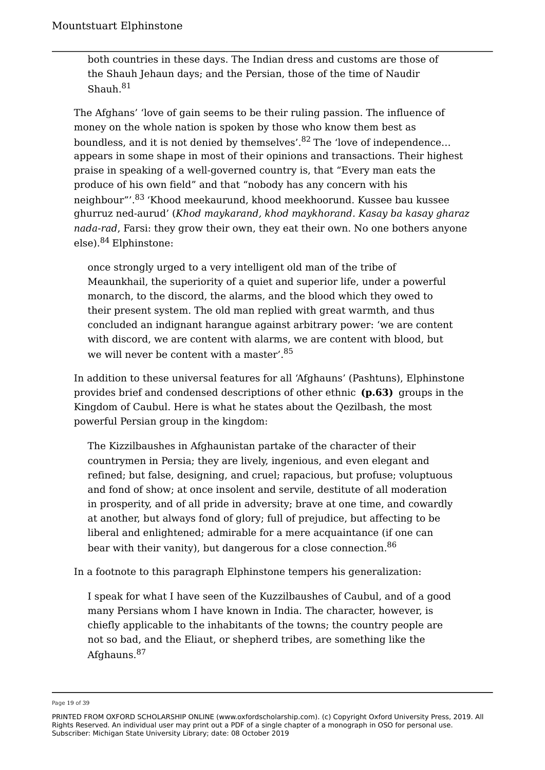both countries in these days. The Indian dress and customs are those of the Shauh Jehaun days; and the Persian, those of the time of Naudir Shauh. $81$ 

The Afghans' 'love of gain seems to be their ruling passion. The influence of money on the whole nation is spoken by those who know them best as boundless, and it is not denied by themselves'. $82$  The 'love of independence... appears in some shape in most of their opinions and transactions. Their highest praise in speaking of a well-governed country is, that "Every man eats the produce of his own field" and that "nobody has any concern with his neighbour"'.<sup>83</sup> 'Khood meekaurund, khood meekhoorund. Kussee bau kussee ghurruz ned-aurud' (*Khod maykarand, khod maykhorand. Kasay ba kasay gharaz nada-rad*, Farsi: they grow their own, they eat their own. No one bothers anyone else). <sup>84</sup> Elphinstone:

once strongly urged to a very intelligent old man of the tribe of Meaunkhail, the superiority of a quiet and superior life, under a powerful monarch, to the discord, the alarms, and the blood which they owed to their present system. The old man replied with great warmth, and thus concluded an indignant harangue against arbitrary power: 'we are content with discord, we are content with alarms, we are content with blood, but we will never be content with a master'.  $^{85}$ 

In addition to these universal features for all 'Afghauns' (Pashtuns), Elphinstone provides brief and condensed descriptions of other ethnic **(p.63)** groups in the Kingdom of Caubul. Here is what he states about the Qezilbash, the most powerful Persian group in the kingdom:

The Kizzilbaushes in Afghaunistan partake of the character of their countrymen in Persia; they are lively, ingenious, and even elegant and refined; but false, designing, and cruel; rapacious, but profuse; voluptuous and fond of show; at once insolent and servile, destitute of all moderation in prosperity, and of all pride in adversity; brave at one time, and cowardly at another, but always fond of glory; full of prejudice, but affecting to be liberal and enlightened; admirable for a mere acquaintance (if one can bear with their vanity), but dangerous for a close connection.<sup>86</sup>

In a footnote to this paragraph Elphinstone tempers his generalization:

I speak for what I have seen of the Kuzzilbaushes of Caubul, and of a good many Persians whom I have known in India. The character, however, is chiefly applicable to the inhabitants of the towns; the country people are not so bad, and the Eliaut, or shepherd tribes, are something like the Afghauns.<sup>87</sup>

Page 19 of 39

PRINTED FROM OXFORD SCHOLARSHIP ONLINE (www.oxfordscholarship.com). (c) Copyright Oxford University Press, 2019. All Rights Reserved. An individual user may print out a PDF of a single chapter of a monograph in OSO for personal use. Subscriber: Michigan State University Library; date: 08 October 2019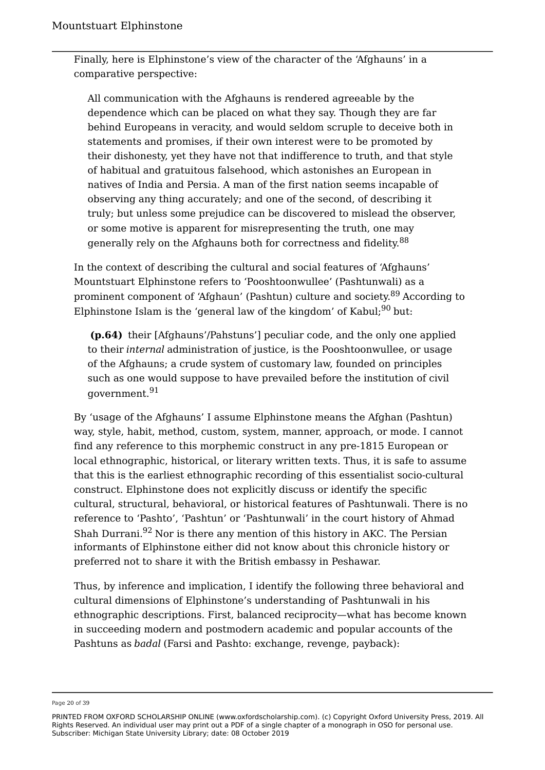Finally, here is Elphinstone's view of the character of the 'Afghauns' in a comparative perspective:

All communication with the Afghauns is rendered agreeable by the dependence which can be placed on what they say. Though they are far behind Europeans in veracity, and would seldom scruple to deceive both in statements and promises, if their own interest were to be promoted by their dishonesty, yet they have not that indifference to truth, and that style of habitual and gratuitous falsehood, which astonishes an European in natives of India and Persia. A man of the first nation seems incapable of observing any thing accurately; and one of the second, of describing it truly; but unless some prejudice can be discovered to mislead the observer, or some motive is apparent for misrepresenting the truth, one may generally rely on the Afghauns both for correctness and fidelity.<sup>88</sup>

In the context of describing the cultural and social features of 'Afghauns' Mountstuart Elphinstone refers to 'Pooshtoonwullee' (Pashtunwali) as a prominent component of 'Afghaun' (Pashtun) culture and society.<sup>89</sup> According to Elphinstone Islam is the 'general law of the kingdom' of Kabul; $90$  but:

 **(p.64)** their [Afghauns'/Pahstuns'] peculiar code, and the only one applied to their *internal* administration of justice, is the Pooshtoonwullee, or usage of the Afghauns; a crude system of customary law, founded on principles such as one would suppose to have prevailed before the institution of civil government.<sup>91</sup>

By 'usage of the Afghauns' I assume Elphinstone means the Afghan (Pashtun) way, style, habit, method, custom, system, manner, approach, or mode. I cannot find any reference to this morphemic construct in any pre-1815 European or local ethnographic, historical, or literary written texts. Thus, it is safe to assume that this is the earliest ethnographic recording of this essentialist socio-cultural construct. Elphinstone does not explicitly discuss or identify the specific cultural, structural, behavioral, or historical features of Pashtunwali. There is no reference to 'Pashto', 'Pashtun' or 'Pashtunwali' in the court history of Ahmad Shah Durrani.<sup>92</sup> Nor is there any mention of this history in AKC. The Persian informants of Elphinstone either did not know about this chronicle history or preferred not to share it with the British embassy in Peshawar.

Thus, by inference and implication, I identify the following three behavioral and cultural dimensions of Elphinstone's understanding of Pashtunwali in his ethnographic descriptions. First, balanced reciprocity—what has become known in succeeding modern and postmodern academic and popular accounts of the Pashtuns as *badal* (Farsi and Pashto: exchange, revenge, payback):

Page 20 of 39

PRINTED FROM OXFORD SCHOLARSHIP ONLINE (www.oxfordscholarship.com). (c) Copyright Oxford University Press, 2019. All Rights Reserved. An individual user may print out a PDF of a single chapter of a monograph in OSO for personal use. Subscriber: Michigan State University Library; date: 08 October 2019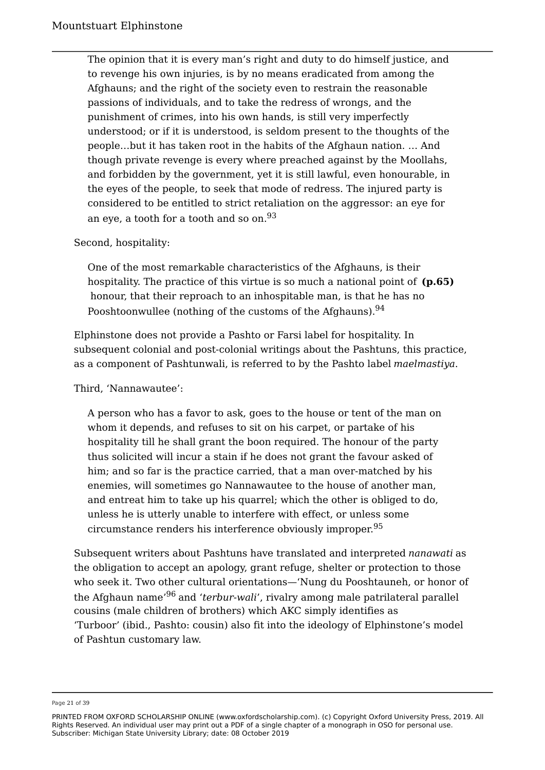The opinion that it is every man's right and duty to do himself justice, and to revenge his own injuries, is by no means eradicated from among the Afghauns; and the right of the society even to restrain the reasonable passions of individuals, and to take the redress of wrongs, and the punishment of crimes, into his own hands, is still very imperfectly understood; or if it is understood, is seldom present to the thoughts of the people…but it has taken root in the habits of the Afghaun nation. … And though private revenge is every where preached against by the Moollahs, and forbidden by the government, yet it is still lawful, even honourable, in the eyes of the people, to seek that mode of redress. The injured party is considered to be entitled to strict retaliation on the aggressor: an eye for an eye, a tooth for a tooth and so on.<sup>93</sup>

## Second, hospitality:

One of the most remarkable characteristics of the Afghauns, is their hospitality. The practice of this virtue is so much a national point of **(p.65)** honour, that their reproach to an inhospitable man, is that he has no Pooshtoonwullee (nothing of the customs of the Afghauns).<sup>94</sup>

Elphinstone does not provide a Pashto or Farsi label for hospitality. In subsequent colonial and post-colonial writings about the Pashtuns, this practice, as a component of Pashtunwali, is referred to by the Pashto label *maelmastiya*.

Third, 'Nannawautee':

A person who has a favor to ask, goes to the house or tent of the man on whom it depends, and refuses to sit on his carpet, or partake of his hospitality till he shall grant the boon required. The honour of the party thus solicited will incur a stain if he does not grant the favour asked of him; and so far is the practice carried, that a man over-matched by his enemies, will sometimes go Nannawautee to the house of another man, and entreat him to take up his quarrel; which the other is obliged to do, unless he is utterly unable to interfere with effect, or unless some circumstance renders his interference obviously improper.<sup>95</sup>

Subsequent writers about Pashtuns have translated and interpreted *nanawati* as the obligation to accept an apology, grant refuge, shelter or protection to those who seek it. Two other cultural orientations—'Nung du Pooshtauneh, or honor of the Afghaun name'<sup>96</sup> and '*terbur-wali*', rivalry among male patrilateral parallel cousins (male children of brothers) which AKC simply identifies as 'Turboor' (ibid., Pashto: cousin) also fit into the ideology of Elphinstone's model of Pashtun customary law.

Page 21 of 39

PRINTED FROM OXFORD SCHOLARSHIP ONLINE (www.oxfordscholarship.com). (c) Copyright Oxford University Press, 2019. All Rights Reserved. An individual user may print out a PDF of a single chapter of a monograph in OSO for personal use. Subscriber: Michigan State University Library; date: 08 October 2019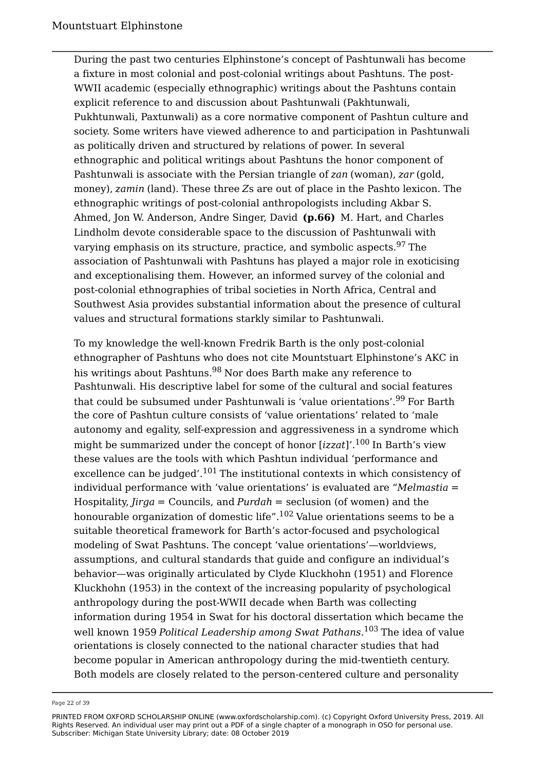During the past two centuries Elphinstone's concept of Pashtunwali has become a fixture in most colonial and post-colonial writings about Pashtuns. The post-WWII academic (especially ethnographic) writings about the Pashtuns contain explicit reference to and discussion about Pashtunwali (Pakhtunwali, Pukhtunwali, Paxtunwali) as a core normative component of Pashtun culture and society. Some writers have viewed adherence to and participation in Pashtunwali as politically driven and structured by relations of power. In several ethnographic and political writings about Pashtuns the honor component of Pashtunwali is associate with the Persian triangle of *zan* (woman), *zar* (gold, money), *zamin* (land). These three *Z*s are out of place in the Pashto lexicon. The ethnographic writings of post-colonial anthropologists including Akbar S. Ahmed, Jon W. Anderson, Andre Singer, David **(p.66)** M. Hart, and Charles Lindholm devote considerable space to the discussion of Pashtunwali with varying emphasis on its structure, practice, and symbolic aspects.<sup>97</sup> The association of Pashtunwali with Pashtuns has played a major role in exoticising and exceptionalising them. However, an informed survey of the colonial and post-colonial ethnographies of tribal societies in North Africa, Central and Southwest Asia provides substantial information about the presence of cultural values and structural formations starkly similar to Pashtunwali.

To my knowledge the well-known Fredrik Barth is the only post-colonial ethnographer of Pashtuns who does not cite Mountstuart Elphinstone's AKC in his writings about Pashtuns.<sup>98</sup> Nor does Barth make any reference to Pashtunwali. His descriptive label for some of the cultural and social features that could be subsumed under Pashtunwali is 'value orientations'.<sup>99</sup> For Barth the core of Pashtun culture consists of 'value orientations' related to 'male autonomy and egality, self-expression and aggressiveness in a syndrome which might be summarized under the concept of honor [*izzat*]'.<sup>100</sup> In Barth's view these values are the tools with which Pashtun individual 'performance and excellence can be judged'. $101$  The institutional contexts in which consistency of individual performance with 'value orientations' is evaluated are "*Melmastia* = Hospitality, *Jirga* = Councils, and *Purdah* = seclusion (of women) and the honourable organization of domestic life".<sup>102</sup> Value orientations seems to be a suitable theoretical framework for Barth's actor-focused and psychological modeling of Swat Pashtuns. The concept 'value orientations'—worldviews, assumptions, and cultural standards that guide and configure an individual's behavior—was originally articulated by Clyde Kluckhohn (1951) and Florence Kluckhohn (1953) in the context of the increasing popularity of psychological anthropology during the post-WWII decade when Barth was collecting information during 1954 in Swat for his doctoral dissertation which became the well known 1959 *Political Leadership among Swat Pathans*. <sup>103</sup> The idea of value orientations is closely connected to the national character studies that had become popular in American anthropology during the mid-twentieth century. Both models are closely related to the person-centered culture and personality

Page 22 of 39

PRINTED FROM OXFORD SCHOLARSHIP ONLINE (www.oxfordscholarship.com). (c) Copyright Oxford University Press, 2019. All Rights Reserved. An individual user may print out a PDF of a single chapter of a monograph in OSO for personal use. Subscriber: Michigan State University Library; date: 08 October 2019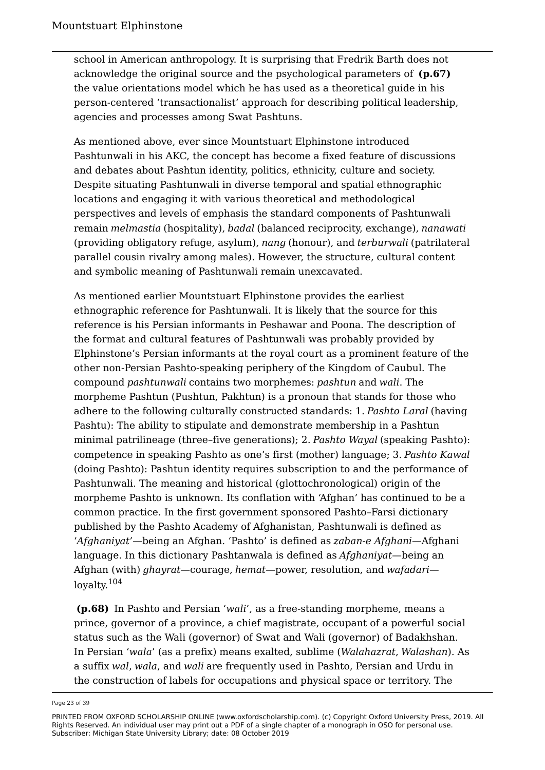school in American anthropology. It is surprising that Fredrik Barth does not acknowledge the original source and the psychological parameters of **(p.67)** the value orientations model which he has used as a theoretical guide in his person-centered 'transactionalist' approach for describing political leadership, agencies and processes among Swat Pashtuns.

As mentioned above, ever since Mountstuart Elphinstone introduced Pashtunwali in his AKC, the concept has become a fixed feature of discussions and debates about Pashtun identity, politics, ethnicity, culture and society. Despite situating Pashtunwali in diverse temporal and spatial ethnographic locations and engaging it with various theoretical and methodological perspectives and levels of emphasis the standard components of Pashtunwali remain *melmastia* (hospitality), *badal* (balanced reciprocity, exchange), *nanawati* (providing obligatory refuge, asylum), *nang* (honour), and *terburwali* (patrilateral parallel cousin rivalry among males). However, the structure, cultural content and symbolic meaning of Pashtunwali remain unexcavated.

As mentioned earlier Mountstuart Elphinstone provides the earliest ethnographic reference for Pashtunwali. It is likely that the source for this reference is his Persian informants in Peshawar and Poona. The description of the format and cultural features of Pashtunwali was probably provided by Elphinstone's Persian informants at the royal court as a prominent feature of the other non-Persian Pashto-speaking periphery of the Kingdom of Caubul. The compound *pashtunwali* contains two morphemes: *pashtun* and *wali*. The morpheme Pashtun (Pushtun, Pakhtun) is a pronoun that stands for those who adhere to the following culturally constructed standards: 1. *Pashto Laral* (having Pashtu): The ability to stipulate and demonstrate membership in a Pashtun minimal patrilineage (three–five generations); 2. *Pashto Wayal* (speaking Pashto): competence in speaking Pashto as one's first (mother) language; 3. *Pashto Kawal* (doing Pashto): Pashtun identity requires subscription to and the performance of Pashtunwali. The meaning and historical (glottochronological) origin of the morpheme Pashto is unknown. Its conflation with 'Afghan' has continued to be a common practice. In the first government sponsored Pashto–Farsi dictionary published by the Pashto Academy of Afghanistan, Pashtunwali is defined as '*Afghaniyat*'—being an Afghan. 'Pashto' is defined as *zaban-e Afghani*—Afghani language. In this dictionary Pashtanwala is defined as *Afghaniyat*—being an Afghan (with) *ghayrat*—courage, *hemat*—power, resolution, and *wafadari* loyalty. $104$ 

 **(p.68)** In Pashto and Persian '*wali*', as a free-standing morpheme, means a prince, governor of a province, a chief magistrate, occupant of a powerful social status such as the Wali (governor) of Swat and Wali (governor) of Badakhshan. In Persian '*wala*' (as a prefix) means exalted, sublime (*Walahazrat*, *Walashan*). As a suffix *wal*, *wala*, and *wali* are frequently used in Pashto, Persian and Urdu in the construction of labels for occupations and physical space or territory. The

Page 23 of 39

PRINTED FROM OXFORD SCHOLARSHIP ONLINE (www.oxfordscholarship.com). (c) Copyright Oxford University Press, 2019. All Rights Reserved. An individual user may print out a PDF of a single chapter of a monograph in OSO for personal use. Subscriber: Michigan State University Library; date: 08 October 2019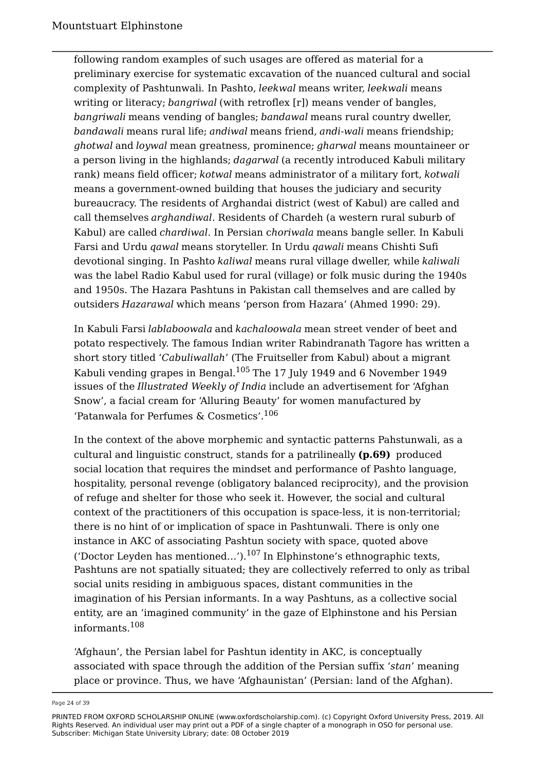following random examples of such usages are offered as material for a preliminary exercise for systematic excavation of the nuanced cultural and social complexity of Pashtunwali. In Pashto, *leekwal* means writer, *leekwali* means writing or literacy; *bangriwal* (with retroflex [r]) means vender of bangles, *bangriwali* means vending of bangles; *bandawal* means rural country dweller, *bandawali* means rural life; *andiwal* means friend, *andi-wali* means friendship; *ghotwal* and *loywal* mean greatness, prominence; *gharwal* means mountaineer or a person living in the highlands; *dagarwal* (a recently introduced Kabuli military rank) means field officer; *kotwal* means administrator of a military fort, *kotwali* means a government-owned building that houses the judiciary and security bureaucracy. The residents of Arghandai district (west of Kabul) are called and call themselves *arghandiwal*. Residents of Chardeh (a western rural suburb of Kabul) are called *chardiwal*. In Persian c*horiwala* means bangle seller. In Kabuli Farsi and Urdu *qawal* means storyteller. In Urdu *qawali* means Chishti Sufi devotional singing. In Pashto *kaliwal* means rural village dweller, while *kaliwali* was the label Radio Kabul used for rural (village) or folk music during the 1940s and 1950s. The Hazara Pashtuns in Pakistan call themselves and are called by outsiders *Hazarawal* which means 'person from Hazara' (Ahmed 1990: 29).

In Kabuli Farsi *lablaboowala* and *kachaloowala* mean street vender of beet and potato respectively. The famous Indian writer Rabindranath Tagore has written a short story titled '*Cabuliwallah*' (The Fruitseller from Kabul) about a migrant Kabuli vending grapes in Bengal.<sup>105</sup> The 17 July 1949 and 6 November 1949 issues of the *Illustrated Weekly of India* include an advertisement for 'Afghan Snow', a facial cream for 'Alluring Beauty' for women manufactured by 'Patanwala for Perfumes  $\&$  Cosmetics'.<sup>106</sup>

In the context of the above morphemic and syntactic patterns Pahstunwali, as a cultural and linguistic construct, stands for a patrilineally **(p.69)** produced social location that requires the mindset and performance of Pashto language, hospitality, personal revenge (obligatory balanced reciprocity), and the provision of refuge and shelter for those who seek it. However, the social and cultural context of the practitioners of this occupation is space-less, it is non-territorial; there is no hint of or implication of space in Pashtunwali. There is only one instance in AKC of associating Pashtun society with space, quoted above ('Doctor Leyden has mentioned...').<sup>107</sup> In Elphinstone's ethnographic texts, Pashtuns are not spatially situated; they are collectively referred to only as tribal social units residing in ambiguous spaces, distant communities in the imagination of his Persian informants. In a way Pashtuns, as a collective social entity, are an 'imagined community' in the gaze of Elphinstone and his Persian informants.<sup>108</sup>

'Afghaun', the Persian label for Pashtun identity in AKC, is conceptually associated with space through the addition of the Persian suffix '*stan*' meaning place or province. Thus, we have 'Afghaunistan' (Persian: land of the Afghan).

Page 24 of 39

PRINTED FROM OXFORD SCHOLARSHIP ONLINE (www.oxfordscholarship.com). (c) Copyright Oxford University Press, 2019. All Rights Reserved. An individual user may print out a PDF of a single chapter of a monograph in OSO for personal use. Subscriber: Michigan State University Library; date: 08 October 2019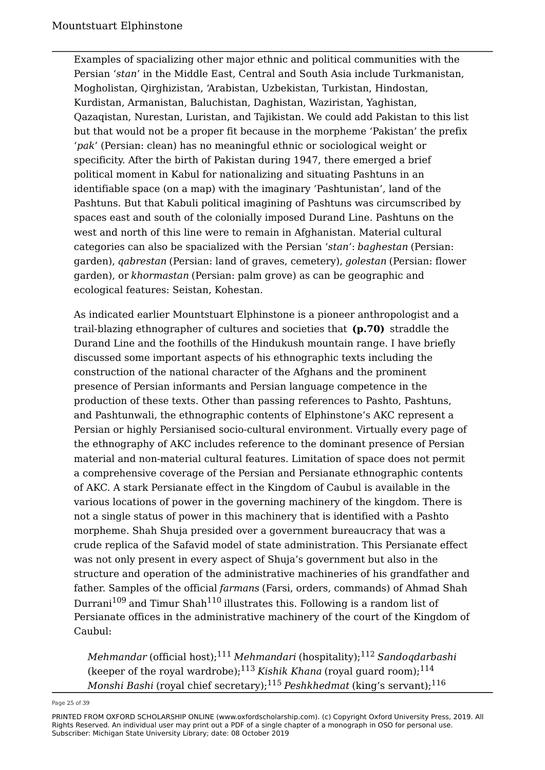Examples of spacializing other major ethnic and political communities with the Persian '*stan*' in the Middle East, Central and South Asia include Turkmanistan, Mogholistan, Qirghizistan, 'Arabistan, Uzbekistan, Turkistan, Hindostan, Kurdistan, Armanistan, Baluchistan, Daghistan, Waziristan, Yaghistan, Qazaqistan, Nurestan, Luristan, and Tajikistan. We could add Pakistan to this list but that would not be a proper fit because in the morpheme 'Pakistan' the prefix '*pak*' (Persian: clean) has no meaningful ethnic or sociological weight or specificity. After the birth of Pakistan during 1947, there emerged a brief political moment in Kabul for nationalizing and situating Pashtuns in an identifiable space (on a map) with the imaginary 'Pashtunistan', land of the Pashtuns. But that Kabuli political imagining of Pashtuns was circumscribed by spaces east and south of the colonially imposed Durand Line. Pashtuns on the west and north of this line were to remain in Afghanistan. Material cultural categories can also be spacialized with the Persian '*stan*': *baghestan* (Persian: garden), *qabrestan* (Persian: land of graves, cemetery), *golestan* (Persian: flower garden), or *khormastan* (Persian: palm grove) as can be geographic and ecological features: Seistan, Kohestan.

As indicated earlier Mountstuart Elphinstone is a pioneer anthropologist and a trail-blazing ethnographer of cultures and societies that **(p.70)** straddle the Durand Line and the foothills of the Hindukush mountain range. I have briefly discussed some important aspects of his ethnographic texts including the construction of the national character of the Afghans and the prominent presence of Persian informants and Persian language competence in the production of these texts. Other than passing references to Pashto, Pashtuns, and Pashtunwali, the ethnographic contents of Elphinstone's AKC represent a Persian or highly Persianised socio-cultural environment. Virtually every page of the ethnography of AKC includes reference to the dominant presence of Persian material and non-material cultural features. Limitation of space does not permit a comprehensive coverage of the Persian and Persianate ethnographic contents of AKC. A stark Persianate effect in the Kingdom of Caubul is available in the various locations of power in the governing machinery of the kingdom. There is not a single status of power in this machinery that is identified with a Pashto morpheme. Shah Shuja presided over a government bureaucracy that was a crude replica of the Safavid model of state administration. This Persianate effect was not only present in every aspect of Shuja's government but also in the structure and operation of the administrative machineries of his grandfather and father. Samples of the official *farmans* (Farsi, orders, commands) of Ahmad Shah Durrani<sup>109</sup> and Timur Shah<sup>110</sup> illustrates this. Following is a random list of Persianate offices in the administrative machinery of the court of the Kingdom of Caubul:

*Mehmandar* (official host);<sup>111</sup> *Mehmandari* (hospitality);<sup>112</sup> *Sandoqdarbashi* (keeper of the royal wardrobe);<sup>113</sup> *Kishik Khana* (royal guard room);<sup>114</sup> *Monshi Bashi* (royal chief secretary);<sup>115</sup> *Peshkhedmat* (king's servant):<sup>116</sup>

Page 25 of 39

PRINTED FROM OXFORD SCHOLARSHIP ONLINE (www.oxfordscholarship.com). (c) Copyright Oxford University Press, 2019. All Rights Reserved. An individual user may print out a PDF of a single chapter of a monograph in OSO for personal use. Subscriber: Michigan State University Library; date: 08 October 2019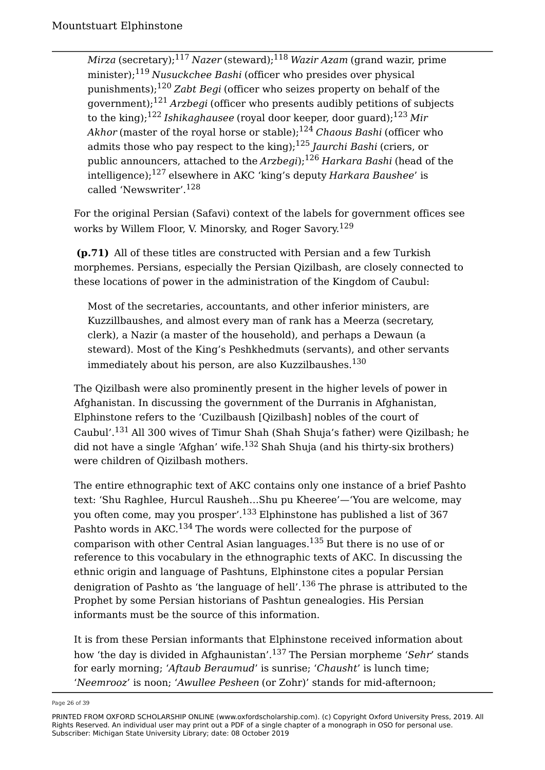*Mirza* (secretary);<sup>117</sup> *Nazer* (steward);<sup>118</sup> *Wazir Azam* (grand wazir, prime minister);<sup>119</sup> *Nusuckchee Bashi* (officer who presides over physical punishments);<sup>120</sup> *Zabt Begi* (officer who seizes property on behalf of the government);<sup>121</sup> *Arzbegi* (officer who presents audibly petitions of subjects to the king);<sup>122</sup> *Ishikaghausee* (royal door keeper, door guard);<sup>123</sup> *Mir Akhor* (master of the royal horse or stable);<sup>124</sup> *Chaous Bashi* (officer who admits those who pay respect to the king);<sup>125</sup> *Jaurchi Bashi* (criers, or public announcers, attached to the *Arzbegi*);<sup>126</sup> *Harkara Bashi* (head of the intelligence);<sup>127</sup> elsewhere in AKC 'king's deputy *Harkara Baushee*' is called 'Newswriter'.<sup>128</sup>

For the original Persian (Safavi) context of the labels for government offices see works by Willem Floor, V. Minorsky, and Roger Savory.<sup>129</sup>

 **(p.71)** All of these titles are constructed with Persian and a few Turkish morphemes. Persians, especially the Persian Qizilbash, are closely connected to these locations of power in the administration of the Kingdom of Caubul:

Most of the secretaries, accountants, and other inferior ministers, are Kuzzillbaushes, and almost every man of rank has a Meerza (secretary, clerk), a Nazir (a master of the household), and perhaps a Dewaun (a steward). Most of the King's Peshkhedmuts (servants), and other servants immediately about his person, are also Kuzzilbaushes.<sup>130</sup>

The Qizilbash were also prominently present in the higher levels of power in Afghanistan. In discussing the government of the Durranis in Afghanistan, Elphinstone refers to the 'Cuzilbaush [Qizilbash] nobles of the court of Caubul'.<sup>131</sup> All 300 wives of Timur Shah (Shah Shuja's father) were Qizilbash; he did not have a single 'Afghan' wife.<sup>132</sup> Shah Shuja (and his thirty-six brothers) were children of Qizilbash mothers.

The entire ethnographic text of AKC contains only one instance of a brief Pashto text: 'Shu Raghlee, Hurcul Rausheh…Shu pu Kheeree'—'You are welcome, may you often come, may you prosper'.<sup>133</sup> Elphinstone has published a list of 367 Pashto words in AKC.<sup>134</sup> The words were collected for the purpose of comparison with other Central Asian languages.<sup>135</sup> But there is no use of or reference to this vocabulary in the ethnographic texts of AKC. In discussing the ethnic origin and language of Pashtuns, Elphinstone cites a popular Persian denigration of Pashto as 'the language of hell'.<sup>136</sup> The phrase is attributed to the Prophet by some Persian historians of Pashtun genealogies. His Persian informants must be the source of this information.

It is from these Persian informants that Elphinstone received information about how 'the day is divided in Afghaunistan'.<sup>137</sup> The Persian morpheme '*Sehr*' stands for early morning; '*Aftaub Beraumud*' is sunrise; '*Chausht*' is lunch time; '*Neemrooz*' is noon; '*Awullee Pesheen* (or Zohr)' stands for mid-afternoon;

Page 26 of 39

PRINTED FROM OXFORD SCHOLARSHIP ONLINE (www.oxfordscholarship.com). (c) Copyright Oxford University Press, 2019. All Rights Reserved. An individual user may print out a PDF of a single chapter of a monograph in OSO for personal use. Subscriber: Michigan State University Library; date: 08 October 2019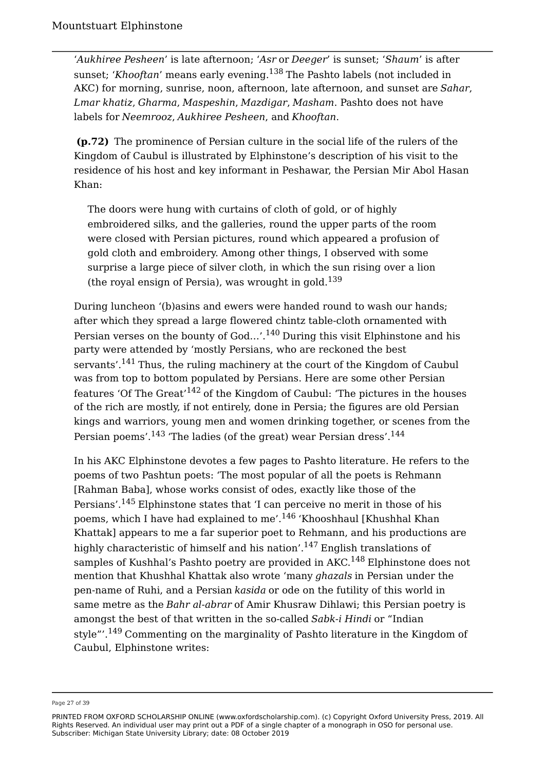'*Aukhiree Pesheen*' is late afternoon; '*Asr* or *Deeger*' is sunset; '*Shaum*' is after sunset; '*Khooftan*' means early evening.<sup>138</sup> The Pashto labels (not included in AKC) for morning, sunrise, noon, afternoon, late afternoon, and sunset are *Sahar*, *Lmar khatiz*, *Gharma*, *Maspeshin*, *Mazdigar*, *Masham*. Pashto does not have labels for *Neemrooz*, *Aukhiree Pesheen*, and *Khooftan*.

 **(p.72)** The prominence of Persian culture in the social life of the rulers of the Kingdom of Caubul is illustrated by Elphinstone's description of his visit to the residence of his host and key informant in Peshawar, the Persian Mir Abol Hasan Khan:

The doors were hung with curtains of cloth of gold, or of highly embroidered silks, and the galleries, round the upper parts of the room were closed with Persian pictures, round which appeared a profusion of gold cloth and embroidery. Among other things, I observed with some surprise a large piece of silver cloth, in which the sun rising over a lion (the royal ensign of Persia), was wrought in gold.<sup>139</sup>

During luncheon '(b)asins and ewers were handed round to wash our hands; after which they spread a large flowered chintz table-cloth ornamented with Persian verses on the bounty of  $God...'<sup>140</sup>$  During this visit Elphinstone and his party were attended by 'mostly Persians, who are reckoned the best servants'.<sup>141</sup> Thus, the ruling machinery at the court of the Kingdom of Caubul was from top to bottom populated by Persians. Here are some other Persian features 'Of The Great'<sup>142</sup> of the Kingdom of Caubul: 'The pictures in the houses of the rich are mostly, if not entirely, done in Persia; the figures are old Persian kings and warriors, young men and women drinking together, or scenes from the Persian poems'.<sup>143</sup> 'The ladies (of the great) wear Persian dress'.<sup>144</sup>

In his AKC Elphinstone devotes a few pages to Pashto literature. He refers to the poems of two Pashtun poets: 'The most popular of all the poets is Rehmann [Rahman Baba], whose works consist of odes, exactly like those of the Persians'.<sup>145</sup> Elphinstone states that 'I can perceive no merit in those of his poems, which I have had explained to me'.<sup>146</sup> 'Khooshhaul [Khushhal Khan Khattak] appears to me a far superior poet to Rehmann, and his productions are highly characteristic of himself and his nation'.<sup>147</sup> English translations of samples of Kushhal's Pashto poetry are provided in  $AKC$ <sup>148</sup> Elphinstone does not mention that Khushhal Khattak also wrote 'many *ghazals* in Persian under the pen-name of Ruhi, and a Persian *kasida* or ode on the futility of this world in same metre as the *Bahr al-abrar* of Amir Khusraw Dihlawi; this Persian poetry is amongst the best of that written in the so-called *Sabk-i Hindi* or "Indian style"'.<sup>149</sup> Commenting on the marginality of Pashto literature in the Kingdom of Caubul, Elphinstone writes:

Page 27 of 39

PRINTED FROM OXFORD SCHOLARSHIP ONLINE (www.oxfordscholarship.com). (c) Copyright Oxford University Press, 2019. All Rights Reserved. An individual user may print out a PDF of a single chapter of a monograph in OSO for personal use. Subscriber: Michigan State University Library; date: 08 October 2019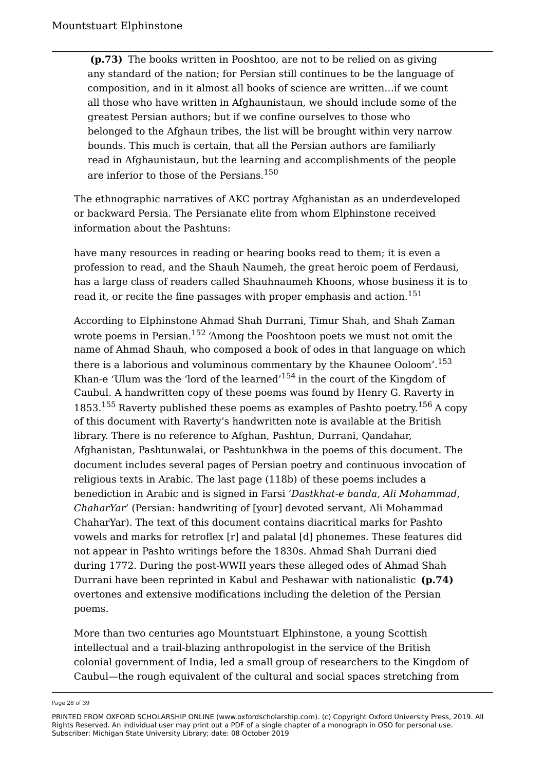**(p.73)** The books written in Pooshtoo, are not to be relied on as giving any standard of the nation; for Persian still continues to be the language of composition, and in it almost all books of science are written…if we count all those who have written in Afghaunistaun, we should include some of the greatest Persian authors; but if we confine ourselves to those who belonged to the Afghaun tribes, the list will be brought within very narrow bounds. This much is certain, that all the Persian authors are familiarly read in Afghaunistaun, but the learning and accomplishments of the people are inferior to those of the Persians.<sup>150</sup>

The ethnographic narratives of AKC portray Afghanistan as an underdeveloped or backward Persia. The Persianate elite from whom Elphinstone received information about the Pashtuns:

have many resources in reading or hearing books read to them; it is even a profession to read, and the Shauh Naumeh, the great heroic poem of Ferdausi, has a large class of readers called Shauhnaumeh Khoons, whose business it is to read it, or recite the fine passages with proper emphasis and action.<sup>151</sup>

According to Elphinstone Ahmad Shah Durrani, Timur Shah, and Shah Zaman wrote poems in Persian.<sup>152</sup> 'Among the Pooshtoon poets we must not omit the name of Ahmad Shauh, who composed a book of odes in that language on which there is a laborious and voluminous commentary by the Khaunee Ooloom'.<sup>153</sup> Khan-e 'Ulum was the 'lord of the learned'<sup>154</sup> in the court of the Kingdom of Caubul. A handwritten copy of these poems was found by Henry G. Raverty in 1853.<sup>155</sup> Raverty published these poems as examples of Pashto poetry.<sup>156</sup> A copy of this document with Raverty's handwritten note is available at the British library. There is no reference to Afghan, Pashtun, Durrani, Qandahar, Afghanistan, Pashtunwalai, or Pashtunkhwa in the poems of this document. The document includes several pages of Persian poetry and continuous invocation of religious texts in Arabic. The last page (118b) of these poems includes a benediction in Arabic and is signed in Farsi '*Dastkhat-e banda, Ali Mohammad, ChaharYar*' (Persian: handwriting of [your] devoted servant, Ali Mohammad ChaharYar). The text of this document contains diacritical marks for Pashto vowels and marks for retroflex [r] and palatal [d] phonemes. These features did not appear in Pashto writings before the 1830s. Ahmad Shah Durrani died during 1772. During the post-WWII years these alleged odes of Ahmad Shah Durrani have been reprinted in Kabul and Peshawar with nationalistic **(p.74)** overtones and extensive modifications including the deletion of the Persian poems.

More than two centuries ago Mountstuart Elphinstone, a young Scottish intellectual and a trail-blazing anthropologist in the service of the British colonial government of India, led a small group of researchers to the Kingdom of Caubul—the rough equivalent of the cultural and social spaces stretching from

Page 28 of 39

PRINTED FROM OXFORD SCHOLARSHIP ONLINE (www.oxfordscholarship.com). (c) Copyright Oxford University Press, 2019. All Rights Reserved. An individual user may print out a PDF of a single chapter of a monograph in OSO for personal use. Subscriber: Michigan State University Library; date: 08 October 2019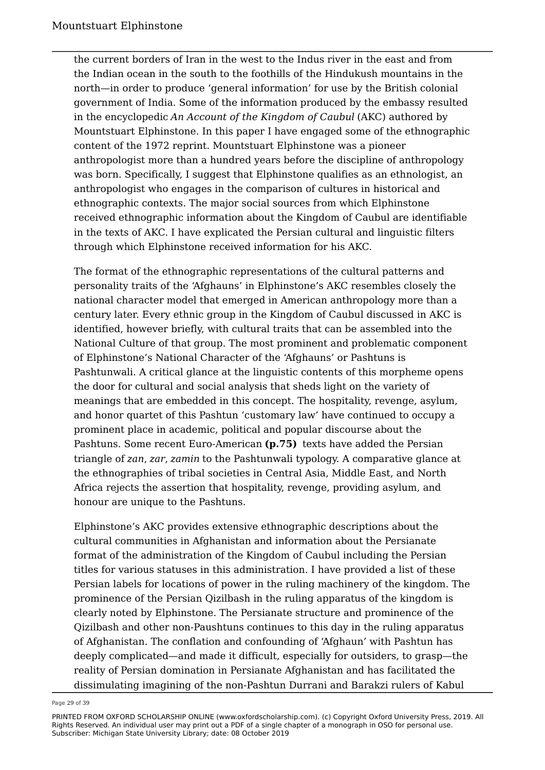the current borders of Iran in the west to the Indus river in the east and from the Indian ocean in the south to the foothills of the Hindukush mountains in the north—in order to produce 'general information' for use by the British colonial government of India. Some of the information produced by the embassy resulted in the encyclopedic *An Account of the Kingdom of Caubul* (AKC) authored by Mountstuart Elphinstone. In this paper I have engaged some of the ethnographic content of the 1972 reprint. Mountstuart Elphinstone was a pioneer anthropologist more than a hundred years before the discipline of anthropology was born. Specifically, I suggest that Elphinstone qualifies as an ethnologist, an anthropologist who engages in the comparison of cultures in historical and ethnographic contexts. The major social sources from which Elphinstone received ethnographic information about the Kingdom of Caubul are identifiable in the texts of AKC. I have explicated the Persian cultural and linguistic filters through which Elphinstone received information for his AKC.

The format of the ethnographic representations of the cultural patterns and personality traits of the 'Afghauns' in Elphinstone's AKC resembles closely the national character model that emerged in American anthropology more than a century later. Every ethnic group in the Kingdom of Caubul discussed in AKC is identified, however briefly, with cultural traits that can be assembled into the National Culture of that group. The most prominent and problematic component of Elphinstone's National Character of the 'Afghauns' or Pashtuns is Pashtunwali. A critical glance at the linguistic contents of this morpheme opens the door for cultural and social analysis that sheds light on the variety of meanings that are embedded in this concept. The hospitality, revenge, asylum, and honor quartet of this Pashtun 'customary law' have continued to occupy a prominent place in academic, political and popular discourse about the Pashtuns. Some recent Euro-American **(p.75)** texts have added the Persian triangle of *zan*, *zar*, *zamin* to the Pashtunwali typology. A comparative glance at the ethnographies of tribal societies in Central Asia, Middle East, and North Africa rejects the assertion that hospitality, revenge, providing asylum, and honour are unique to the Pashtuns.

Elphinstone's AKC provides extensive ethnographic descriptions about the cultural communities in Afghanistan and information about the Persianate format of the administration of the Kingdom of Caubul including the Persian titles for various statuses in this administration. I have provided a list of these Persian labels for locations of power in the ruling machinery of the kingdom. The prominence of the Persian Qizilbash in the ruling apparatus of the kingdom is clearly noted by Elphinstone. The Persianate structure and prominence of the Qizilbash and other non-Paushtuns continues to this day in the ruling apparatus of Afghanistan. The conflation and confounding of 'Afghaun' with Pashtun has deeply complicated—and made it difficult, especially for outsiders, to grasp—the reality of Persian domination in Persianate Afghanistan and has facilitated the dissimulating imagining of the non-Pashtun Durrani and Barakzi rulers of Kabul

Page 29 of 39

PRINTED FROM OXFORD SCHOLARSHIP ONLINE (www.oxfordscholarship.com). (c) Copyright Oxford University Press, 2019. All Rights Reserved. An individual user may print out a PDF of a single chapter of a monograph in OSO for personal use. Subscriber: Michigan State University Library; date: 08 October 2019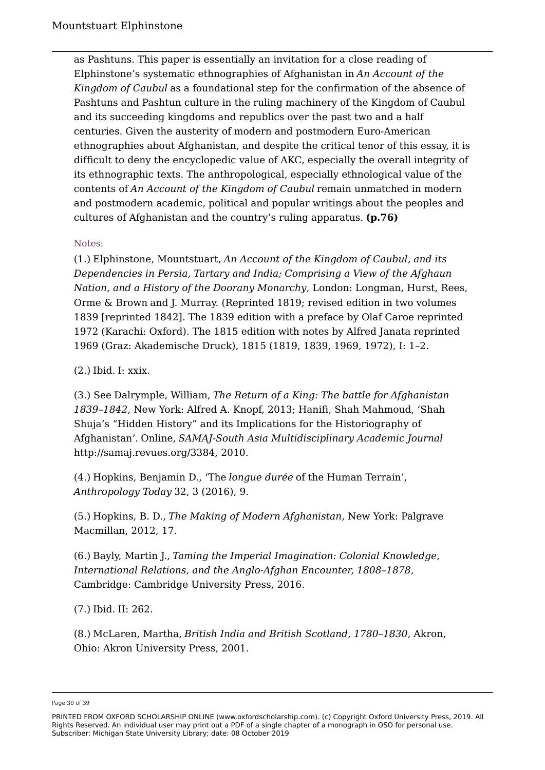as Pashtuns. This paper is essentially an invitation for a close reading of Elphinstone's systematic ethnographies of Afghanistan in *An Account of the Kingdom of Caubul* as a foundational step for the confirmation of the absence of Pashtuns and Pashtun culture in the ruling machinery of the Kingdom of Caubul and its succeeding kingdoms and republics over the past two and a half centuries. Given the austerity of modern and postmodern Euro-American ethnographies about Afghanistan, and despite the critical tenor of this essay, it is difficult to deny the encyclopedic value of AKC, especially the overall integrity of its ethnographic texts. The anthropological, especially ethnological value of the contents of *An Account of the Kingdom of Caubul* remain unmatched in modern and postmodern academic, political and popular writings about the peoples and cultures of Afghanistan and the country's ruling apparatus. **(p.76)**

## Notes:

(1.) Elphinstone, Mountstuart, *An Account of the Kingdom of Caubul, and its Dependencies in Persia, Tartary and India; Comprising a View of the Afghaun Nation, and a History of the Doorany Monarchy*, London: Longman, Hurst, Rees, Orme & Brown and J. Murray. (Reprinted 1819; revised edition in two volumes 1839 [reprinted 1842]. The 1839 edition with a preface by Olaf Caroe reprinted 1972 (Karachi: Oxford). The 1815 edition with notes by Alfred Janata reprinted 1969 (Graz: Akademische Druck), 1815 (1819, 1839, 1969, 1972), I: 1–2.

(2.) Ibid. I: xxix.

(3.) See Dalrymple, William, *The Return of a King: The battle for Afghanistan 1839–1842*, New York: Alfred A. Knopf, 2013; Hanifi, Shah Mahmoud, 'Shah Shuja's "Hidden History" and its Implications for the Historiography of Afghanistan'. Online, *SAMAJ-South Asia Multidisciplinary Academic Journal* http://samaj.revues.org/3384, 2010.

(4.) Hopkins, Benjamin D., 'The *longue durée* of the Human Terrain', *Anthropology Today* 32, 3 (2016), 9.

(5.) Hopkins, B. D., *The Making of Modern Afghanistan*, New York: Palgrave Macmillan, 2012, 17.

(6.) Bayly, Martin J., *Taming the Imperial Imagination: Colonial Knowledge, International Relations, and the Anglo-Afghan Encounter, 1808–1878*, Cambridge: Cambridge University Press, 2016.

(7.) Ibid. II: 262.

(8.) McLaren, Martha, *British India and British Scotland, 1780–1830*, Akron, Ohio: Akron University Press, 2001.

Page 30 of 39

PRINTED FROM OXFORD SCHOLARSHIP ONLINE (www.oxfordscholarship.com). (c) Copyright Oxford University Press, 2019. All Rights Reserved. An individual user may print out a PDF of a single chapter of a monograph in OSO for personal use. Subscriber: Michigan State University Library; date: 08 October 2019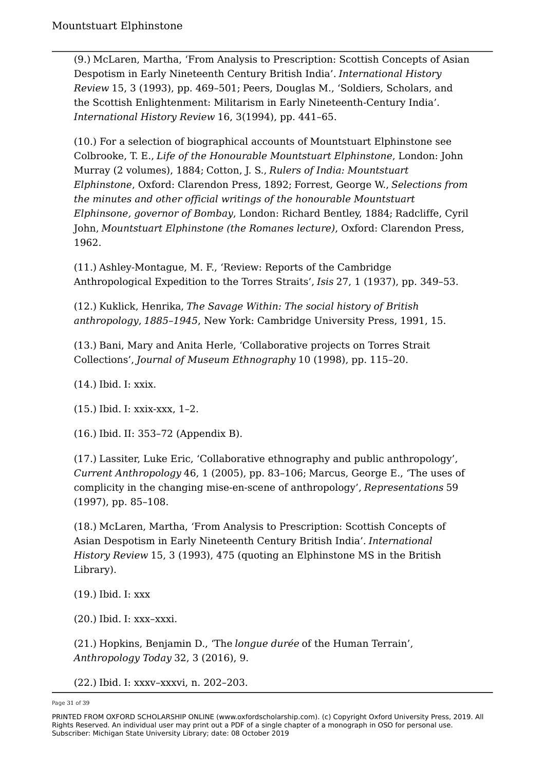(9.) McLaren, Martha, 'From Analysis to Prescription: Scottish Concepts of Asian Despotism in Early Nineteenth Century British India'. *International History Review* 15, 3 (1993), pp. 469–501; Peers, Douglas M., 'Soldiers, Scholars, and the Scottish Enlightenment: Militarism in Early Nineteenth-Century India'. *International History Review* 16, 3(1994), pp. 441–65.

(10.) For a selection of biographical accounts of Mountstuart Elphinstone see Colbrooke, T. E., *Life of the Honourable Mountstuart Elphinstone*, London: John Murray (2 volumes), 1884; Cotton, J. S., *Rulers of India: Mountstuart Elphinstone*, Oxford: Clarendon Press, 1892; Forrest, George W., *Selections from the minutes and other official writings of the honourable Mountstuart Elphinsone, governor of Bombay*, London: Richard Bentley, 1884; Radcliffe, Cyril John, *Mountstuart Elphinstone (the Romanes lecture)*, Oxford: Clarendon Press, 1962.

(11.) Ashley-Montague, M. F., 'Review: Reports of the Cambridge Anthropological Expedition to the Torres Straits', *Isis* 27, 1 (1937), pp. 349–53.

(12.) Kuklick, Henrika, *The Savage Within: The social history of British anthropology*, *1885–1945*, New York: Cambridge University Press, 1991, 15.

(13.) Bani, Mary and Anita Herle, 'Collaborative projects on Torres Strait Collections', *Journal of Museum Ethnography* 10 (1998), pp. 115–20.

(14.) Ibid. I: xxix.

(15.) Ibid. I: xxix-xxx, 1–2.

(16.) Ibid. II: 353–72 (Appendix B).

(17.) Lassiter, Luke Eric, 'Collaborative ethnography and public anthropology', *Current Anthropology* 46, 1 (2005), pp. 83–106; Marcus, George E., 'The uses of complicity in the changing mise-en-scene of anthropology', *Representations* 59 (1997), pp. 85–108.

(18.) McLaren, Martha, 'From Analysis to Prescription: Scottish Concepts of Asian Despotism in Early Nineteenth Century British India'. *International History Review* 15, 3 (1993), 475 (quoting an Elphinstone MS in the British Library).

(19.) Ibid. I: xxx

(20.) Ibid. I: xxx–xxxi.

(21.) Hopkins, Benjamin D., 'The *longue durée* of the Human Terrain', *Anthropology Today* 32, 3 (2016), 9.

(22.) Ibid. I: xxxv–xxxvi, n. 202–203.

Page 31 of 39

PRINTED FROM OXFORD SCHOLARSHIP ONLINE (www.oxfordscholarship.com). (c) Copyright Oxford University Press, 2019. All Rights Reserved. An individual user may print out a PDF of a single chapter of a monograph in OSO for personal use. Subscriber: Michigan State University Library; date: 08 October 2019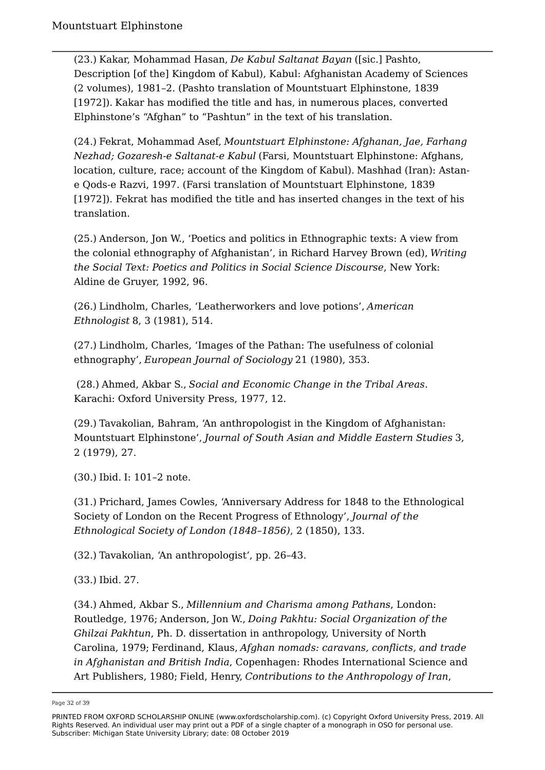(23.) Kakar, Mohammad Hasan, *De Kabul Saltanat Bayan* ([sic.] Pashto, Description [of the] Kingdom of Kabul), Kabul: Afghanistan Academy of Sciences (2 volumes), 1981–2. (Pashto translation of Mountstuart Elphinstone, 1839 [1972]). Kakar has modified the title and has, in numerous places, converted Elphinstone's "Afghan" to "Pashtun" in the text of his translation.

(24.) Fekrat, Mohammad Asef, *Mountstuart Elphinstone: Afghanan, Jae, Farhang Nezhad; Gozaresh-e Saltanat-e Kabul* (Farsi, Mountstuart Elphinstone: Afghans, location, culture, race; account of the Kingdom of Kabul). Mashhad (Iran): Astane Qods-e Razvi, 1997. (Farsi translation of Mountstuart Elphinstone, 1839 [1972]). Fekrat has modified the title and has inserted changes in the text of his translation.

(25.) Anderson, Jon W., 'Poetics and politics in Ethnographic texts: A view from the colonial ethnography of Afghanistan', in Richard Harvey Brown (ed), *Writing the Social Text: Poetics and Politics in Social Science Discourse*, New York: Aldine de Gruyer, 1992, 96.

(26.) Lindholm, Charles, 'Leatherworkers and love potions', *American Ethnologist* 8, 3 (1981), 514.

(27.) Lindholm, Charles, 'Images of the Pathan: The usefulness of colonial ethnography', *European Journal of Sociology* 21 (1980), 353.

(28.) Ahmed, Akbar S., *Social and Economic Change in the Tribal Areas*. Karachi: Oxford University Press, 1977, 12.

(29.) Tavakolian, Bahram, 'An anthropologist in the Kingdom of Afghanistan: Mountstuart Elphinstone', *Journal of South Asian and Middle Eastern Studies* 3, 2 (1979), 27.

(30.) Ibid. I: 101–2 note.

(31.) Prichard, James Cowles, 'Anniversary Address for 1848 to the Ethnological Society of London on the Recent Progress of Ethnology', *Journal of the Ethnological Society of London (1848–1856)*, 2 (1850), 133.

(32.) Tavakolian, 'An anthropologist', pp. 26–43.

(33.) Ibid. 27.

(34.) Ahmed, Akbar S., *Millennium and Charisma among Pathans*, London: Routledge, 1976; Anderson, Jon W., *Doing Pakhtu: Social Organization of the Ghilzai Pakhtun*, Ph. D. dissertation in anthropology, University of North Carolina, 1979; Ferdinand, Klaus, *Afghan nomads: caravans, conflicts, and trade in Afghanistan and British India*, Copenhagen: Rhodes International Science and Art Publishers, 1980; Field, Henry, *Contributions to the Anthropology of Iran*,

Page 32 of 39

PRINTED FROM OXFORD SCHOLARSHIP ONLINE (www.oxfordscholarship.com). (c) Copyright Oxford University Press, 2019. All Rights Reserved. An individual user may print out a PDF of a single chapter of a monograph in OSO for personal use. Subscriber: Michigan State University Library; date: 08 October 2019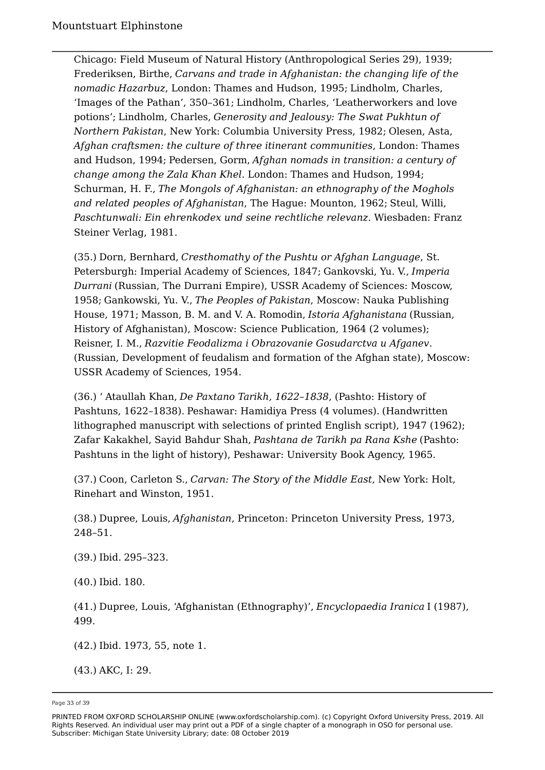Chicago: Field Museum of Natural History (Anthropological Series 29), 1939; Frederiksen, Birthe, *Carvans and trade in Afghanistan: the changing life of the nomadic Hazarbuz*, London: Thames and Hudson, 1995; Lindholm, Charles, 'Images of the Pathan', 350–361; Lindholm, Charles, 'Leatherworkers and love potions'; Lindholm, Charles, *Generosity and Jealousy: The Swat Pukhtun of Northern Pakistan*, New York: Columbia University Press, 1982; Olesen, Asta, *Afghan craftsmen: the culture of three itinerant communities*, London: Thames and Hudson, 1994; Pedersen, Gorm, *Afghan nomads in transition: a century of change among the Zala Khan Khel*. London: Thames and Hudson, 1994; Schurman, H. F., *The Mongols of Afghanistan: an ethnography of the Moghols and related peoples of Afghanistan*, The Hague: Mounton, 1962; Steul, Willi, *Paschtunwali: Ein ehrenkodex und seine rechtliche relevanz*. Wiesbaden: Franz Steiner Verlag, 1981.

(35.) Dorn, Bernhard, *Cresthomathy of the Pushtu or Afghan Language*, St. Petersburgh: Imperial Academy of Sciences, 1847; Gankovski, Yu. V., *Imperia Durrani* (Russian, The Durrani Empire), USSR Academy of Sciences: Moscow, 1958; Gankowski, Yu. V., *The Peoples of Pakistan*, Moscow: Nauka Publishing House, 1971; Masson, B. M. and V. A. Romodin, *Istoria Afghanistana* (Russian, History of Afghanistan), Moscow: Science Publication, 1964 (2 volumes); Reisner, I. M., *Razvitie Feodalizma i Obrazovanie Gosudarctva u Afganev*. (Russian, Development of feudalism and formation of the Afghan state), Moscow: USSR Academy of Sciences, 1954.

(36.) ' Ataullah Khan, *De Paxtano Tarikh, 1622–1838*, (Pashto: History of Pashtuns, 1622–1838). Peshawar: Hamidiya Press (4 volumes). (Handwritten lithographed manuscript with selections of printed English script), 1947 (1962); Zafar Kakakhel, Sayid Bahdur Shah, *Pashtana de Tarikh pa Rana Kshe* (Pashto: Pashtuns in the light of history), Peshawar: University Book Agency, 1965.

(37.) Coon, Carleton S., *Carvan: The Story of the Middle East*, New York: Holt, Rinehart and Winston, 1951.

(38.) Dupree, Louis, *Afghanistan*, Princeton: Princeton University Press, 1973, 248–51.

(39.) Ibid. 295–323.

(40.) Ibid. 180.

(41.) Dupree, Louis, 'Afghanistan (Ethnography)', *Encyclopaedia Iranica* I (1987), 499.

(42.) Ibid. 1973, 55, note 1.

(43.) AKC, I: 29.

Page 33 of 39

PRINTED FROM OXFORD SCHOLARSHIP ONLINE (www.oxfordscholarship.com). (c) Copyright Oxford University Press, 2019. All Rights Reserved. An individual user may print out a PDF of a single chapter of a monograph in OSO for personal use. Subscriber: Michigan State University Library; date: 08 October 2019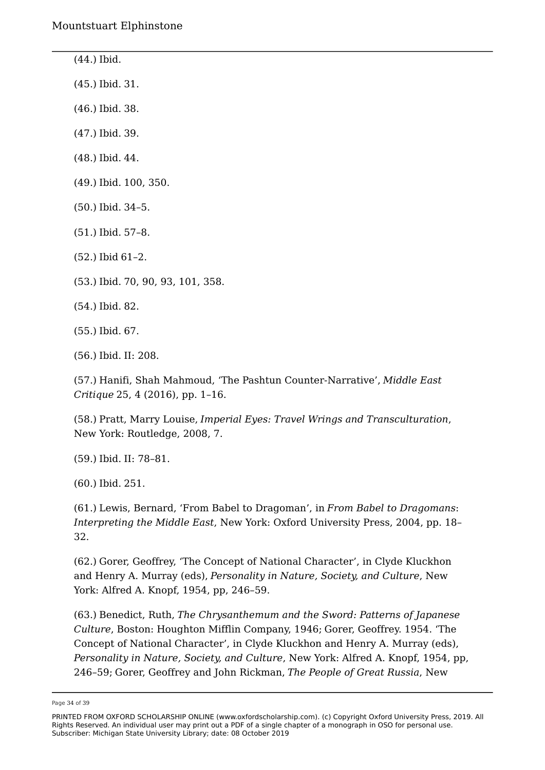- (44.) Ibid.
- (45.) Ibid. 31.
- (46.) Ibid. 38.
- (47.) Ibid. 39.
- (48.) Ibid. 44.
- (49.) Ibid. 100, 350.
- (50.) Ibid. 34–5.
- (51.) Ibid. 57–8.
- (52.) Ibid 61–2.
- (53.) Ibid. 70, 90, 93, 101, 358.
- (54.) Ibid. 82.
- (55.) Ibid. 67.
- (56.) Ibid. II: 208.

(57.) Hanifi, Shah Mahmoud, 'The Pashtun Counter-Narrative', *Middle East Critique* 25, 4 (2016), pp. 1–16.

(58.) Pratt, Marry Louise, *Imperial Eyes: Travel Wrings and Transculturation*, New York: Routledge, 2008, 7.

- (59.) Ibid. II: 78–81.
- (60.) Ibid. 251.

(61.) Lewis, Bernard, 'From Babel to Dragoman', in *From Babel to Dragomans*: *Interpreting the Middle East*, New York: Oxford University Press, 2004, pp. 18– 32.

(62.) Gorer, Geoffrey, 'The Concept of National Character', in Clyde Kluckhon and Henry A. Murray (eds), *Personality in Nature, Society, and Culture*, New York: Alfred A. Knopf, 1954, pp, 246–59.

(63.) Benedict, Ruth, *The Chrysanthemum and the Sword: Patterns of Japanese Culture*, Boston: Houghton Mifflin Company, 1946; Gorer, Geoffrey. 1954. 'The Concept of National Character', in Clyde Kluckhon and Henry A. Murray (eds), *Personality in Nature, Society, and Culture*, New York: Alfred A. Knopf, 1954, pp, 246–59; Gorer, Geoffrey and John Rickman, *The People of Great Russia*, New

Page 34 of 39

PRINTED FROM OXFORD SCHOLARSHIP ONLINE (www.oxfordscholarship.com). (c) Copyright Oxford University Press, 2019. All Rights Reserved. An individual user may print out a PDF of a single chapter of a monograph in OSO for personal use. Subscriber: Michigan State University Library; date: 08 October 2019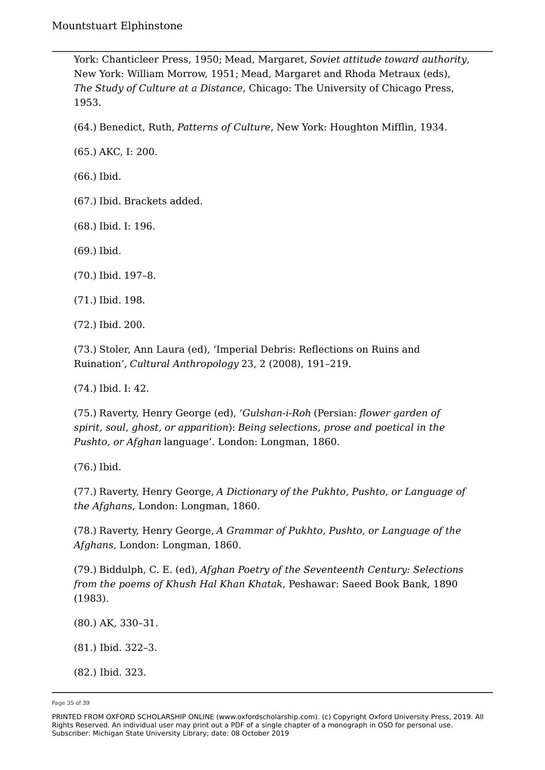York: Chanticleer Press, 1950; Mead, Margaret, *Soviet attitude toward authority*, New York: William Morrow, 1951; Mead, Margaret and Rhoda Metraux (eds), *The Study of Culture at a Distance*, Chicago: The University of Chicago Press, 1953.

(64.) Benedict, Ruth, *Patterns of Culture*, New York: Houghton Mifflin, 1934.

(65.) AKC, I: 200.

(66.) Ibid.

(67.) Ibid. Brackets added.

(68.) Ibid. I: 196.

(69.) Ibid.

(70.) Ibid. 197–8.

(71.) Ibid. 198.

(72.) Ibid. 200.

(73.) Stoler, Ann Laura (ed), 'Imperial Debris: Reflections on Ruins and Ruination', *Cultural Anthropology* 23, 2 (2008), 191–219.

(74.) Ibid. I: 42.

(75.) Raverty, Henry George (ed), '*Gulshan-i-Roh* (Persian: *flower garden of spirit, soul, ghost, or apparition*): *Being selections, prose and poetical in the Pushto, or Afghan* language'. London: Longman, 1860.

(76.) Ibid.

(77.) Raverty, Henry George, *A Dictionary of the Pukhto, Pushto, or Language of the Afghans*, London: Longman, 1860.

(78.) Raverty, Henry George, *A Grammar of Pukhto, Pushto, or Language of the Afghans*, London: Longman, 1860.

(79.) Biddulph, C. E. (ed), *Afghan Poetry of the Seventeenth Century: Selections from the poems of Khush Hal Khan Khatak*, Peshawar: Saeed Book Bank, 1890 (1983).

(80.) AK, 330–31.

(81.) Ibid. 322–3.

(82.) Ibid. 323.

Page 35 of 39

PRINTED FROM OXFORD SCHOLARSHIP ONLINE (www.oxfordscholarship.com). (c) Copyright Oxford University Press, 2019. All Rights Reserved. An individual user may print out a PDF of a single chapter of a monograph in OSO for personal use. Subscriber: Michigan State University Library; date: 08 October 2019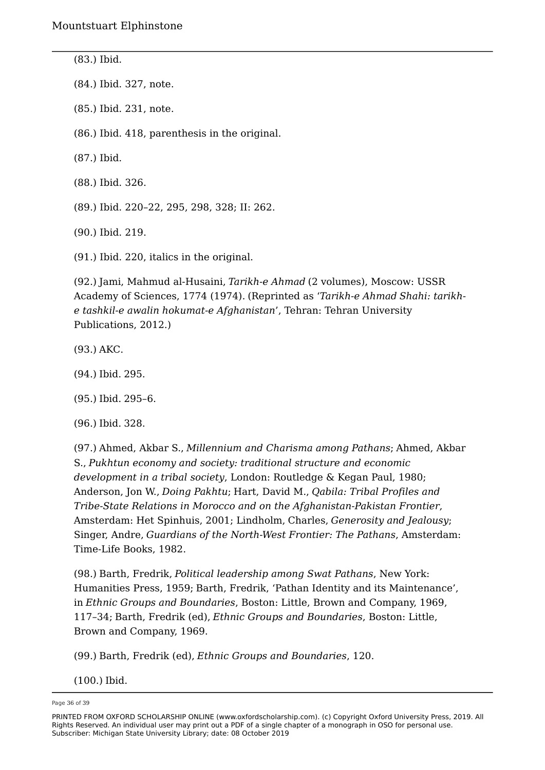(83.) Ibid. (84.) Ibid. 327, note. (85.) Ibid. 231, note. (86.) Ibid. 418, parenthesis in the original. (87.) Ibid. (88.) Ibid. 326. (89.) Ibid. 220–22, 295, 298, 328; II: 262. (90.) Ibid. 219. (91.) Ibid. 220, italics in the original.

(92.) Jami, Mahmud al-Husaini, *Tarikh-e Ahmad* (2 volumes), Moscow: USSR Academy of Sciences, 1774 (1974). (Reprinted as '*Tarikh-e Ahmad Shahi: tarikhe tashkil-e awalin hokumat-e Afghanistan*', Tehran: Tehran University Publications, 2012.)

(93.) AKC.

(94.) Ibid. 295.

(95.) Ibid. 295–6.

(96.) Ibid. 328.

(97.) Ahmed, Akbar S., *Millennium and Charisma among Pathans*; Ahmed, Akbar S., *Pukhtun economy and society: traditional structure and economic development in a tribal society*, London: Routledge & Kegan Paul, 1980; Anderson, Jon W., *Doing Pakhtu*; Hart, David M., *Qabila: Tribal Profiles and Tribe-State Relations in Morocco and on the Afghanistan-Pakistan Frontier*, Amsterdam: Het Spinhuis, 2001; Lindholm, Charles, *Generosity and Jealousy*; Singer, Andre, *Guardians of the North-West Frontier: The Pathans*, Amsterdam: Time-Life Books, 1982.

(98.) Barth, Fredrik, *Political leadership among Swat Pathans*, New York: Humanities Press, 1959; Barth, Fredrik, 'Pathan Identity and its Maintenance', in *Ethnic Groups and Boundaries*, Boston: Little, Brown and Company, 1969, 117–34; Barth, Fredrik (ed), *Ethnic Groups and Boundaries*, Boston: Little, Brown and Company, 1969.

(99.) Barth, Fredrik (ed), *Ethnic Groups and Boundaries*, 120.

(100.) Ibid.

Page 36 of 39

PRINTED FROM OXFORD SCHOLARSHIP ONLINE (www.oxfordscholarship.com). (c) Copyright Oxford University Press, 2019. All Rights Reserved. An individual user may print out a PDF of a single chapter of a monograph in OSO for personal use. Subscriber: Michigan State University Library; date: 08 October 2019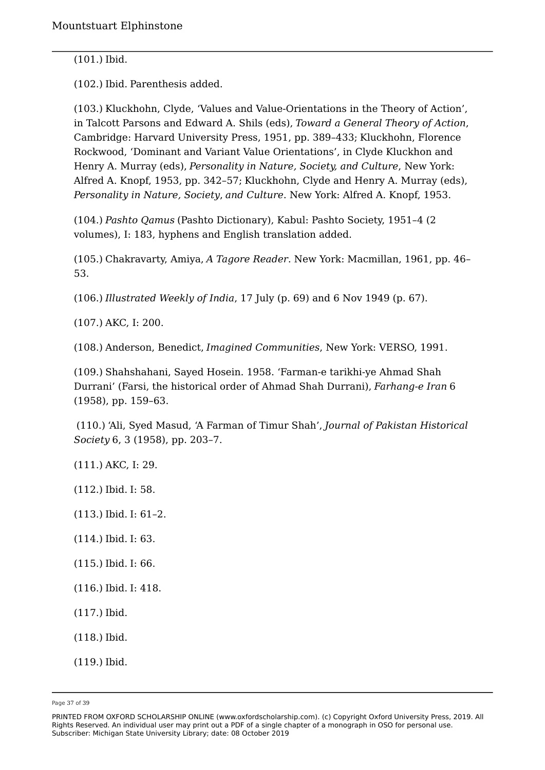(101.) Ibid.

(102.) Ibid. Parenthesis added.

(103.) Kluckhohn, Clyde, 'Values and Value-Orientations in the Theory of Action', in Talcott Parsons and Edward A. Shils (eds), *Toward a General Theory of Action*, Cambridge: Harvard University Press, 1951, pp. 389–433; Kluckhohn, Florence Rockwood, 'Dominant and Variant Value Orientations', in Clyde Kluckhon and Henry A. Murray (eds), *Personality in Nature, Society, and Culture*, New York: Alfred A. Knopf, 1953, pp. 342–57; Kluckhohn, Clyde and Henry A. Murray (eds), *Personality in Nature, Society*, *and Culture*. New York: Alfred A. Knopf, 1953.

(104.) *Pashto Qamus* (Pashto Dictionary), Kabul: Pashto Society, 1951–4 (2 volumes), I: 183, hyphens and English translation added.

(105.) Chakravarty, Amiya, *A Tagore Reader*. New York: Macmillan, 1961, pp. 46– 53.

(106.) *Illustrated Weekly of India*, 17 July (p. 69) and 6 Nov 1949 (p. 67).

(107.) AKC, I: 200.

(108.) Anderson, Benedict, *Imagined Communities*, New York: VERSO, 1991.

(109.) Shahshahani, Sayed Hosein. 1958. 'Farman-e tarikhi-ye Ahmad Shah Durrani' (Farsi, the historical order of Ahmad Shah Durrani), *Farhang-e Iran* 6 (1958), pp. 159–63.

(110.) 'Ali, Syed Masud, 'A Farman of Timur Shah', *Journal of Pakistan Historical Society* 6, 3 (1958), pp. 203–7.

(111.) AKC, I: 29.

(112.) Ibid. I: 58.

(113.) Ibid. I: 61–2.

- (114.) Ibid. I: 63.
- (115.) Ibid. I: 66.
- (116.) Ibid. I: 418.
- (117.) Ibid.
- (118.) Ibid.
- (119.) Ibid.

Page 37 of 39

PRINTED FROM OXFORD SCHOLARSHIP ONLINE (www.oxfordscholarship.com). (c) Copyright Oxford University Press, 2019. All Rights Reserved. An individual user may print out a PDF of a single chapter of a monograph in OSO for personal use. Subscriber: Michigan State University Library; date: 08 October 2019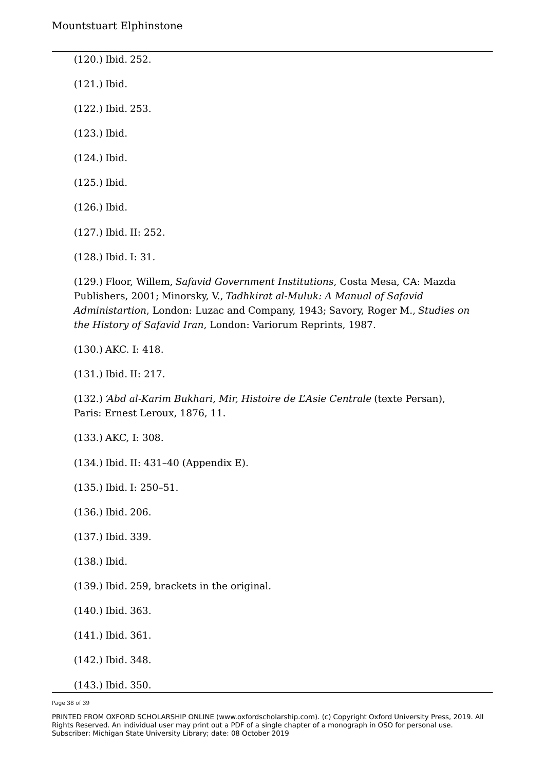(120.) Ibid. 252.

(121.) Ibid.

(122.) Ibid. 253.

(123.) Ibid.

(124.) Ibid.

(125.) Ibid.

(126.) Ibid.

(127.) Ibid. II: 252.

(128.) Ibid. I: 31.

(129.) Floor, Willem, *Safavid Government Institutions*, Costa Mesa, CA: Mazda Publishers, 2001; Minorsky, V., *Tadhkirat al-Muluk: A Manual of Safavid Administartion*, London: Luzac and Company, 1943; Savory, Roger M., *Studies on the History of Safavid Iran*, London: Variorum Reprints, 1987.

(130.) AKC. I: 418.

(131.) Ibid. II: 217.

(132.) *'Abd al-Karim Bukhari, Mir, Histoire de L'Asie Centrale* (texte Persan), Paris: Ernest Leroux, 1876, 11.

(133.) AKC, I: 308.

(134.) Ibid. II: 431–40 (Appendix E).

(135.) Ibid. I: 250–51.

(136.) Ibid. 206.

(137.) Ibid. 339.

(138.) Ibid.

(139.) Ibid. 259, brackets in the original.

(140.) Ibid. 363.

(141.) Ibid. 361.

(142.) Ibid. 348.

(143.) Ibid. 350.

Page 38 of 39

PRINTED FROM OXFORD SCHOLARSHIP ONLINE (www.oxfordscholarship.com). (c) Copyright Oxford University Press, 2019. All Rights Reserved. An individual user may print out a PDF of a single chapter of a monograph in OSO for personal use. Subscriber: Michigan State University Library; date: 08 October 2019